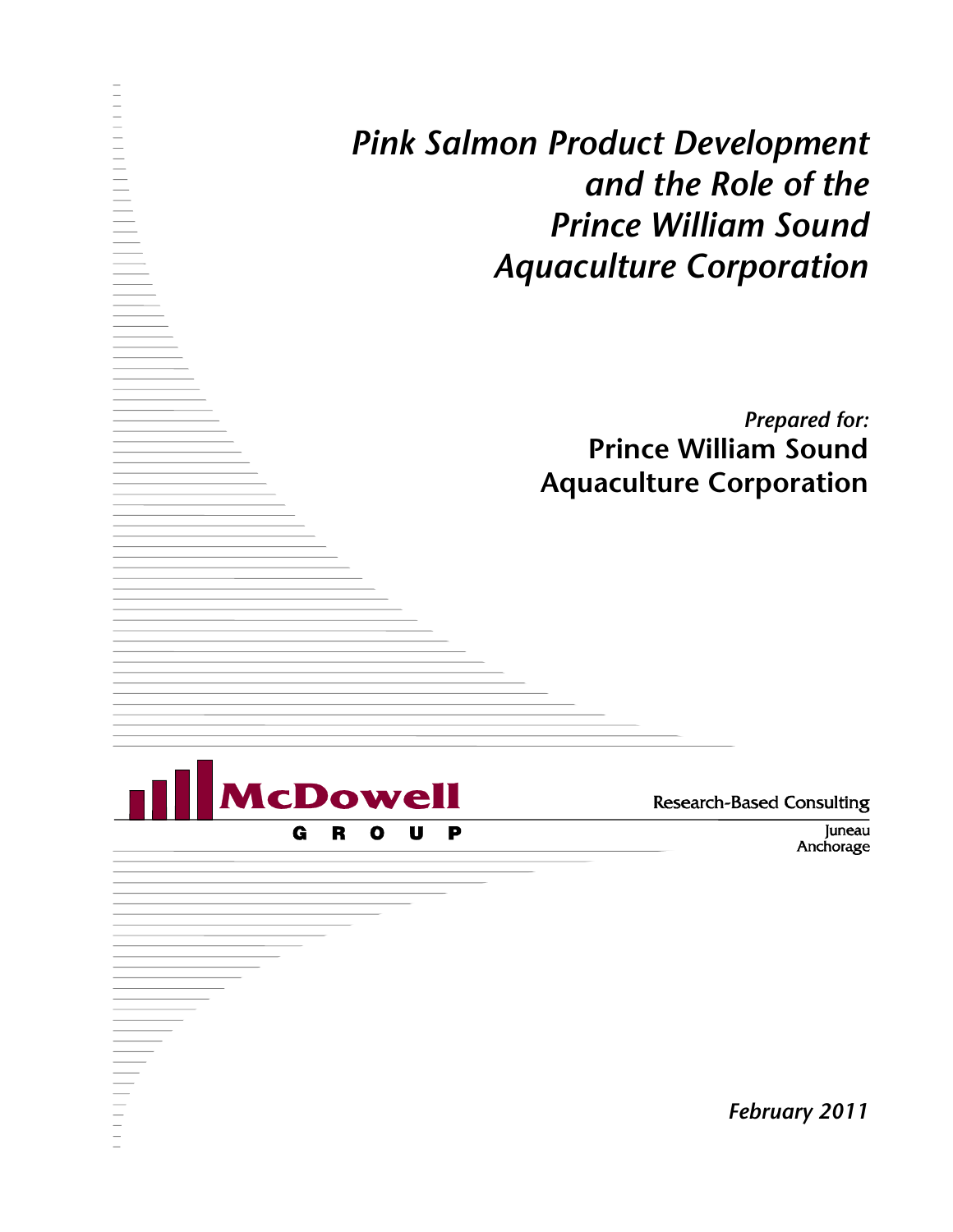*Pink Salmon Product Development and the Role of the Prince William Sound Aquaculture Corporation*

> *Prepared for:* **Prince William Sound Aquaculture Corporation**

**AcDowe** G R  $\bullet$ U P

**Research-Based Consulting** 

Juneau Anchorage

*February 2011*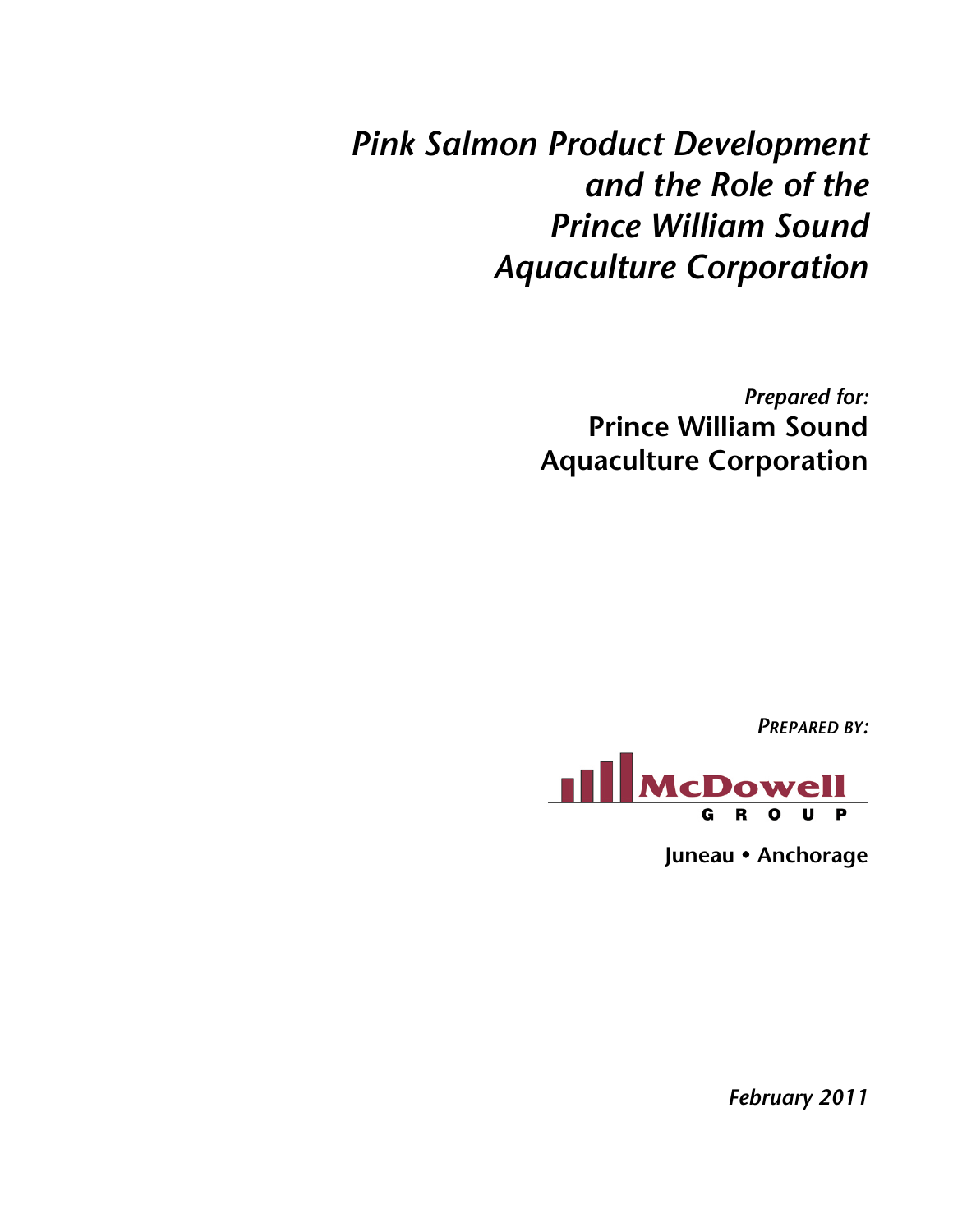*Pink Salmon Product Development and the Role of the Prince William Sound Aquaculture Corporation*

> *Prepared for:* **Prince William Sound Aquaculture Corporation**

> > *PREPARED BY:*



**Juneau Anchorage**

*February 2011*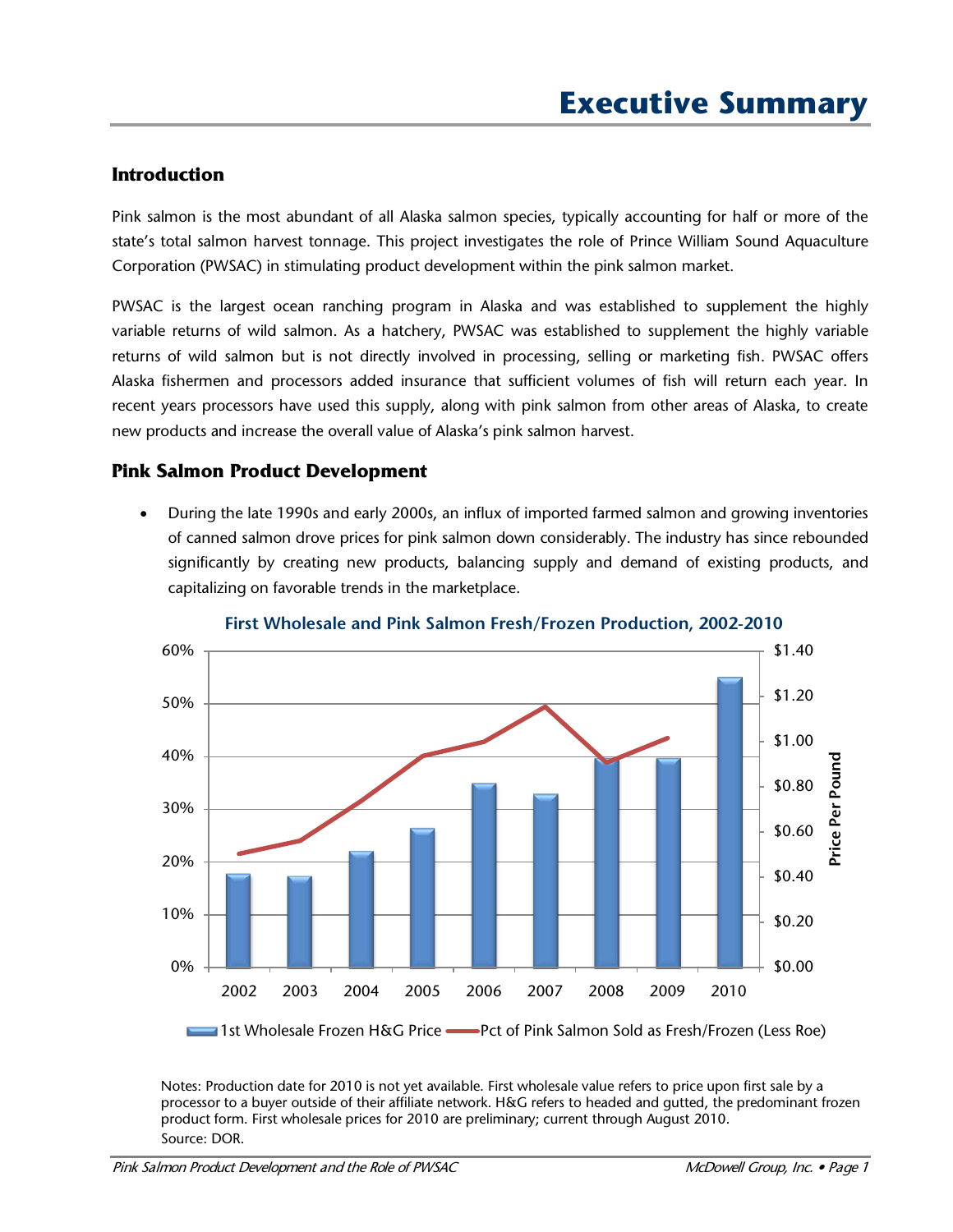#### **Introduction**

Pink salmon is the most abundant of all Alaska salmon species, typically accounting for half or more of the state's total salmon harvest tonnage. This project investigates the role of Prince William Sound Aquaculture Corporation (PWSAC) in stimulating product development within the pink salmon market.

PWSAC is the largest ocean ranching program in Alaska and was established to supplement the highly variable returns of wild salmon. As a hatchery, PWSAC was established to supplement the highly variable returns of wild salmon but is not directly involved in processing, selling or marketing fish. PWSAC offers Alaska fishermen and processors added insurance that sufficient volumes of fish will return each year. In recent years processors have used this supply, along with pink salmon from other areas of Alaska, to create new products and increase the overall value of Alaska's pink salmon harvest.

#### **Pink Salmon Product Development**

• During the late 1990s and early 2000s, an influx of imported farmed salmon and growing inventories of canned salmon drove prices for pink salmon down considerably. The industry has since rebounded significantly by creating new products, balancing supply and demand of existing products, and capitalizing on favorable trends in the marketplace.



**First Wholesale and Pink Salmon Fresh/Frozen Production, 2002-2010**

1st Wholesale Frozen H&G Price Pct of Pink Salmon Sold as Fresh/Frozen (Less Roe)

Notes: Production date for 2010 is not yet available. First wholesale value refers to price upon first sale by a processor to a buyer outside of their affiliate network. H&G refers to headed and gutted, the predominant frozen product form. First wholesale prices for 2010 are preliminary; current through August 2010. Source: DOR.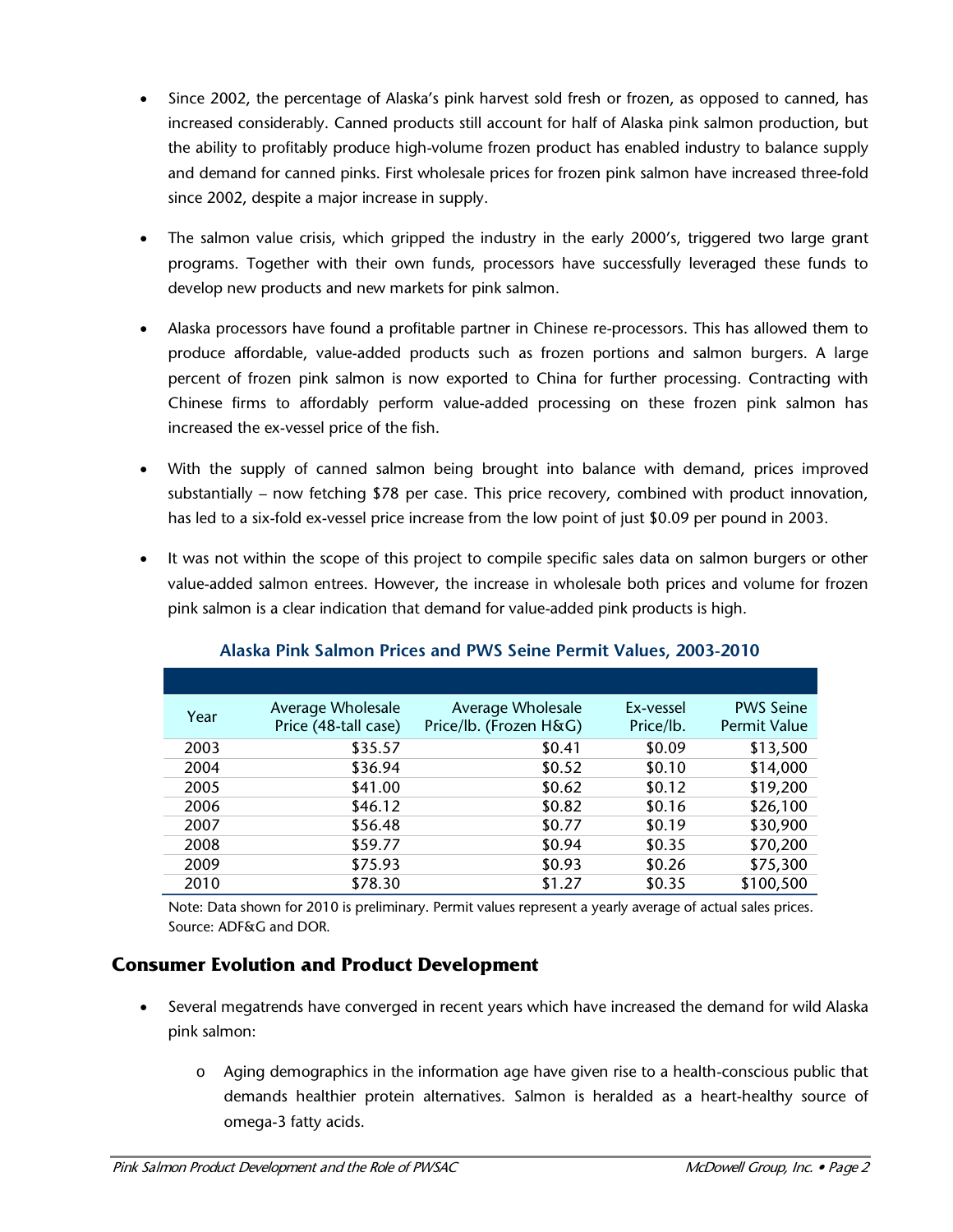- Since 2002, the percentage of Alaska's pink harvest sold fresh or frozen, as opposed to canned, has increased considerably. Canned products still account for half of Alaska pink salmon production, but the ability to profitably produce high-volume frozen product has enabled industry to balance supply and demand for canned pinks. First wholesale prices for frozen pink salmon have increased three-fold since 2002, despite a major increase in supply.
- The salmon value crisis, which gripped the industry in the early 2000's, triggered two large grant programs. Together with their own funds, processors have successfully leveraged these funds to develop new products and new markets for pink salmon.
- Alaska processors have found a profitable partner in Chinese re-processors. This has allowed them to produce affordable, value-added products such as frozen portions and salmon burgers. A large percent of frozen pink salmon is now exported to China for further processing. Contracting with Chinese firms to affordably perform value-added processing on these frozen pink salmon has increased the ex-vessel price of the fish.
- With the supply of canned salmon being brought into balance with demand, prices improved substantially – now fetching \$78 per case. This price recovery, combined with product innovation, has led to a six-fold ex-vessel price increase from the low point of just \$0.09 per pound in 2003.
- It was not within the scope of this project to compile specific sales data on salmon burgers or other value-added salmon entrees. However, the increase in wholesale both prices and volume for frozen pink salmon is a clear indication that demand for value-added pink products is high.

| Year | Average Wholesale    | Average Wholesale      | Ex-vessel | <b>PWS Seine</b>    |
|------|----------------------|------------------------|-----------|---------------------|
|      | Price (48-tall case) | Price/lb. (Frozen H&G) | Price/lb. | <b>Permit Value</b> |
| 2003 | \$35.57              | \$0.41                 | \$0.09    | \$13,500            |
| 2004 | \$36.94              | \$0.52                 | \$0.10    | \$14,000            |
| 2005 | \$41.00              | \$0.62                 | \$0.12    | \$19,200            |
| 2006 | \$46.12              | \$0.82                 | \$0.16    | \$26,100            |
| 2007 | \$56.48              | \$0.77                 | \$0.19    | \$30,900            |
| 2008 | \$59.77              | \$0.94                 | \$0.35    | \$70,200            |
| 2009 | \$75.93              | \$0.93                 | \$0.26    | \$75,300            |
| 2010 | \$78.30              | \$1.27                 | \$0.35    | \$100,500           |

#### **Alaska Pink Salmon Prices and PWS Seine Permit Values, 2003-2010**

 Note: Data shown for 2010 is preliminary. Permit values represent a yearly average of actual sales prices. Source: ADF&G and DOR.

### **Consumer Evolution and Product Development**

- Several megatrends have converged in recent years which have increased the demand for wild Alaska pink salmon:
	- o Aging demographics in the information age have given rise to a health-conscious public that demands healthier protein alternatives. Salmon is heralded as a heart-healthy source of omega-3 fatty acids.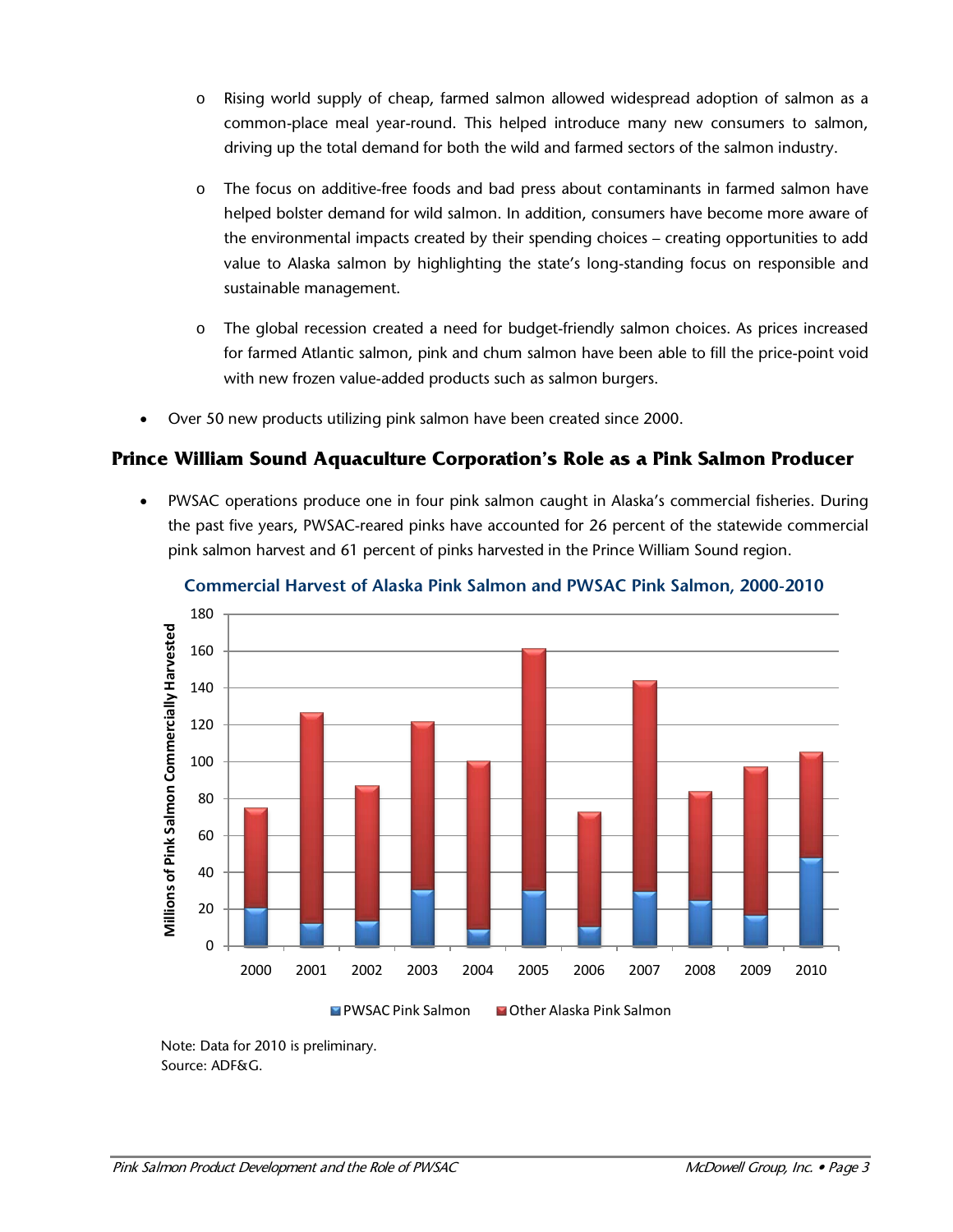- o Rising world supply of cheap, farmed salmon allowed widespread adoption of salmon as a common-place meal year-round. This helped introduce many new consumers to salmon, driving up the total demand for both the wild and farmed sectors of the salmon industry.
- o The focus on additive-free foods and bad press about contaminants in farmed salmon have helped bolster demand for wild salmon. In addition, consumers have become more aware of the environmental impacts created by their spending choices – creating opportunities to add value to Alaska salmon by highlighting the state's long-standing focus on responsible and sustainable management.
- o The global recession created a need for budget-friendly salmon choices. As prices increased for farmed Atlantic salmon, pink and chum salmon have been able to fill the price-point void with new frozen value-added products such as salmon burgers.
- Over 50 new products utilizing pink salmon have been created since 2000.

### **Prince William Sound Aquaculture Corporation's Role as a Pink Salmon Producer**

• PWSAC operations produce one in four pink salmon caught in Alaska's commercial fisheries. During the past five years, PWSAC-reared pinks have accounted for 26 percent of the statewide commercial pink salmon harvest and 61 percent of pinks harvested in the Prince William Sound region.





Note: Data for 2010 is preliminary. Source: ADF&G.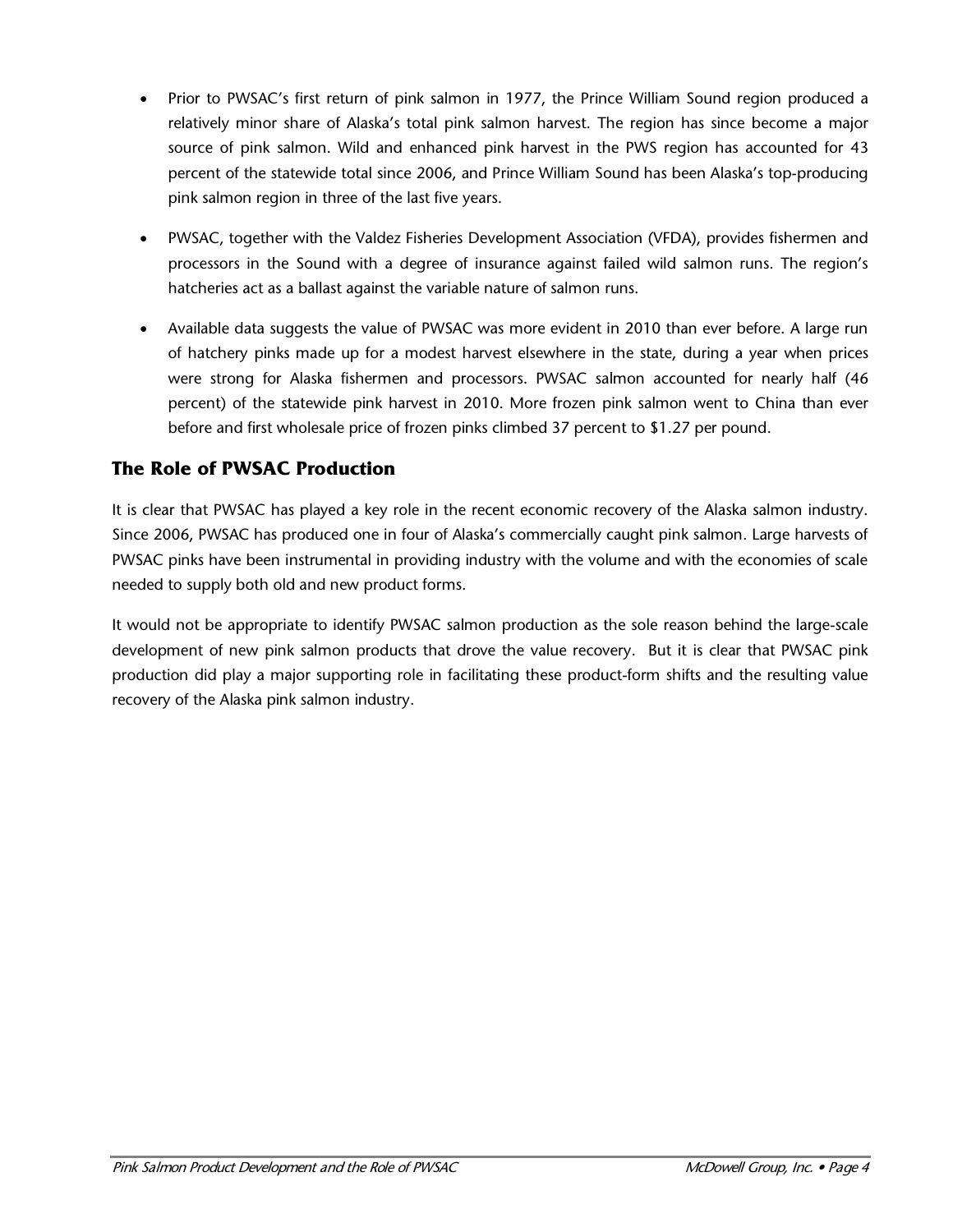- Prior to PWSAC's first return of pink salmon in 1977, the Prince William Sound region produced a relatively minor share of Alaska's total pink salmon harvest. The region has since become a major source of pink salmon. Wild and enhanced pink harvest in the PWS region has accounted for 43 percent of the statewide total since 2006, and Prince William Sound has been Alaska's top-producing pink salmon region in three of the last five years.
- PWSAC, together with the Valdez Fisheries Development Association (VFDA), provides fishermen and processors in the Sound with a degree of insurance against failed wild salmon runs. The region's hatcheries act as a ballast against the variable nature of salmon runs.
- Available data suggests the value of PWSAC was more evident in 2010 than ever before. A large run of hatchery pinks made up for a modest harvest elsewhere in the state, during a year when prices were strong for Alaska fishermen and processors. PWSAC salmon accounted for nearly half (46 percent) of the statewide pink harvest in 2010. More frozen pink salmon went to China than ever before and first wholesale price of frozen pinks climbed 37 percent to \$1.27 per pound.

# **The Role of PWSAC Production**

It is clear that PWSAC has played a key role in the recent economic recovery of the Alaska salmon industry. Since 2006, PWSAC has produced one in four of Alaska's commercially caught pink salmon. Large harvests of PWSAC pinks have been instrumental in providing industry with the volume and with the economies of scale needed to supply both old and new product forms.

It would not be appropriate to identify PWSAC salmon production as the sole reason behind the large-scale development of new pink salmon products that drove the value recovery. But it is clear that PWSAC pink production did play a major supporting role in facilitating these product-form shifts and the resulting value recovery of the Alaska pink salmon industry.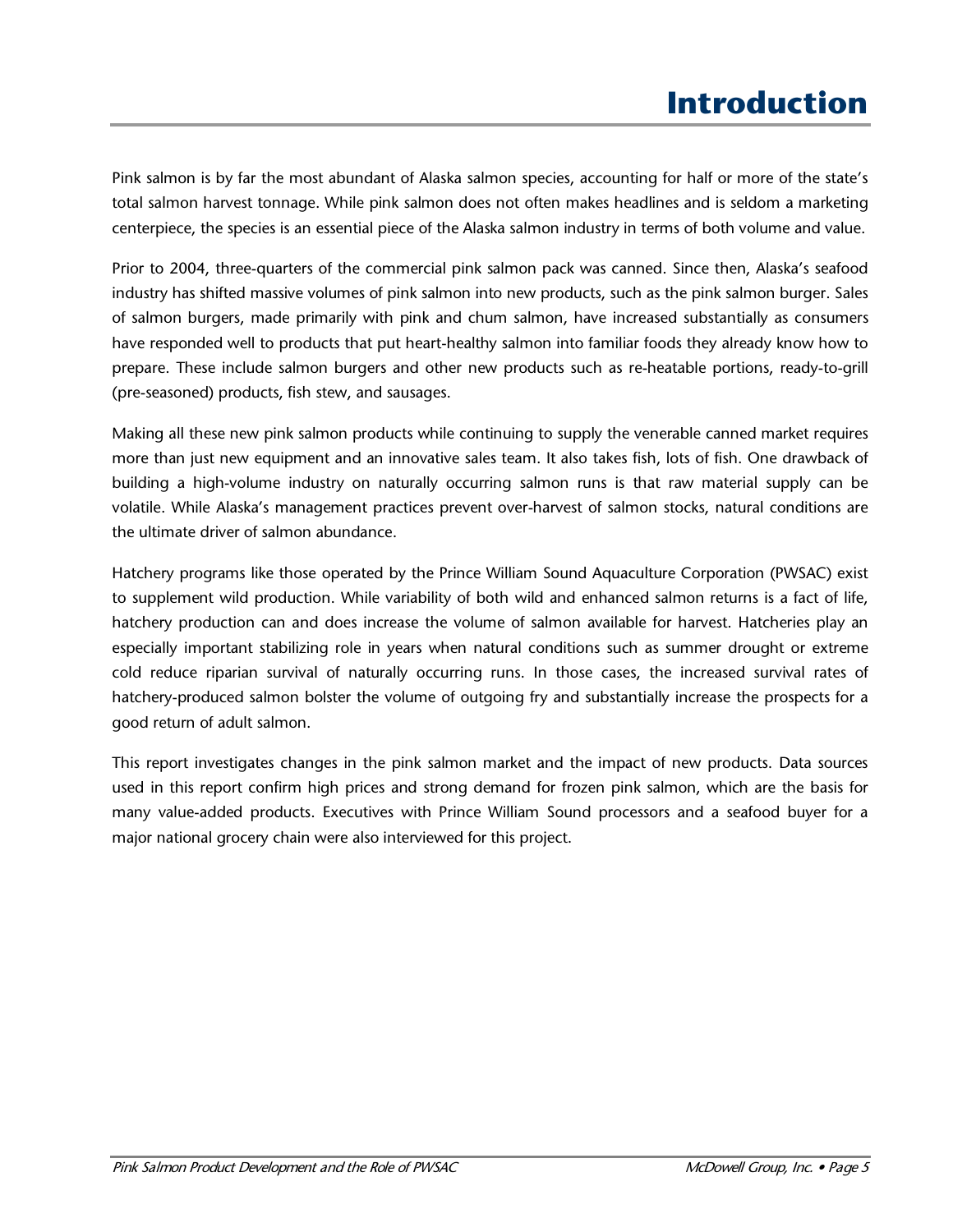Pink salmon is by far the most abundant of Alaska salmon species, accounting for half or more of the state's total salmon harvest tonnage. While pink salmon does not often makes headlines and is seldom a marketing centerpiece, the species is an essential piece of the Alaska salmon industry in terms of both volume and value.

Prior to 2004, three-quarters of the commercial pink salmon pack was canned. Since then, Alaska's seafood industry has shifted massive volumes of pink salmon into new products, such as the pink salmon burger. Sales of salmon burgers, made primarily with pink and chum salmon, have increased substantially as consumers have responded well to products that put heart-healthy salmon into familiar foods they already know how to prepare. These include salmon burgers and other new products such as re-heatable portions, ready-to-grill (pre-seasoned) products, fish stew, and sausages.

Making all these new pink salmon products while continuing to supply the venerable canned market requires more than just new equipment and an innovative sales team. It also takes fish, lots of fish. One drawback of building a high-volume industry on naturally occurring salmon runs is that raw material supply can be volatile. While Alaska's management practices prevent over-harvest of salmon stocks, natural conditions are the ultimate driver of salmon abundance.

Hatchery programs like those operated by the Prince William Sound Aquaculture Corporation (PWSAC) exist to supplement wild production. While variability of both wild and enhanced salmon returns is a fact of life, hatchery production can and does increase the volume of salmon available for harvest. Hatcheries play an especially important stabilizing role in years when natural conditions such as summer drought or extreme cold reduce riparian survival of naturally occurring runs. In those cases, the increased survival rates of hatchery-produced salmon bolster the volume of outgoing fry and substantially increase the prospects for a good return of adult salmon.

This report investigates changes in the pink salmon market and the impact of new products. Data sources used in this report confirm high prices and strong demand for frozen pink salmon, which are the basis for many value-added products. Executives with Prince William Sound processors and a seafood buyer for a major national grocery chain were also interviewed for this project.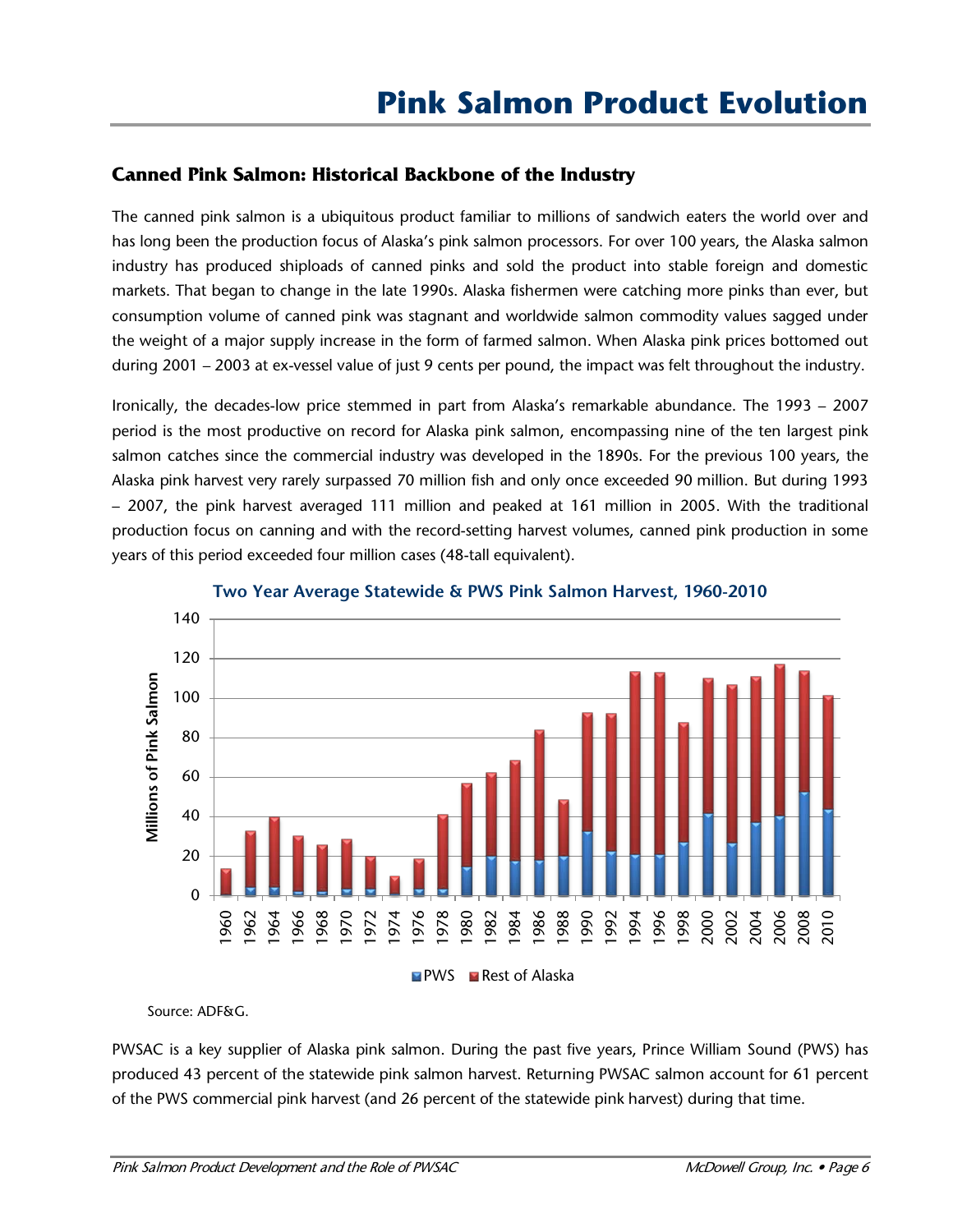#### **Canned Pink Salmon: Historical Backbone of the Industry**

The canned pink salmon is a ubiquitous product familiar to millions of sandwich eaters the world over and has long been the production focus of Alaska's pink salmon processors. For over 100 years, the Alaska salmon industry has produced shiploads of canned pinks and sold the product into stable foreign and domestic markets. That began to change in the late 1990s. Alaska fishermen were catching more pinks than ever, but consumption volume of canned pink was stagnant and worldwide salmon commodity values sagged under the weight of a major supply increase in the form of farmed salmon. When Alaska pink prices bottomed out during 2001 – 2003 at ex-vessel value of just 9 cents per pound, the impact was felt throughout the industry.

Ironically, the decades-low price stemmed in part from Alaska's remarkable abundance. The 1993 – 2007 period is the most productive on record for Alaska pink salmon, encompassing nine of the ten largest pink salmon catches since the commercial industry was developed in the 1890s. For the previous 100 years, the Alaska pink harvest very rarely surpassed 70 million fish and only once exceeded 90 million. But during 1993 – 2007, the pink harvest averaged 111 million and peaked at 161 million in 2005. With the traditional production focus on canning and with the record-setting harvest volumes, canned pink production in some years of this period exceeded four million cases (48-tall equivalent).



**Two Year Average Statewide & PWS Pink Salmon Harvest, 1960-2010**

Source: ADF&G.

PWSAC is a key supplier of Alaska pink salmon. During the past five years, Prince William Sound (PWS) has produced 43 percent of the statewide pink salmon harvest. Returning PWSAC salmon account for 61 percent of the PWS commercial pink harvest (and 26 percent of the statewide pink harvest) during that time.

 $\blacksquare$  PWS  $\blacksquare$  Rest of Alaska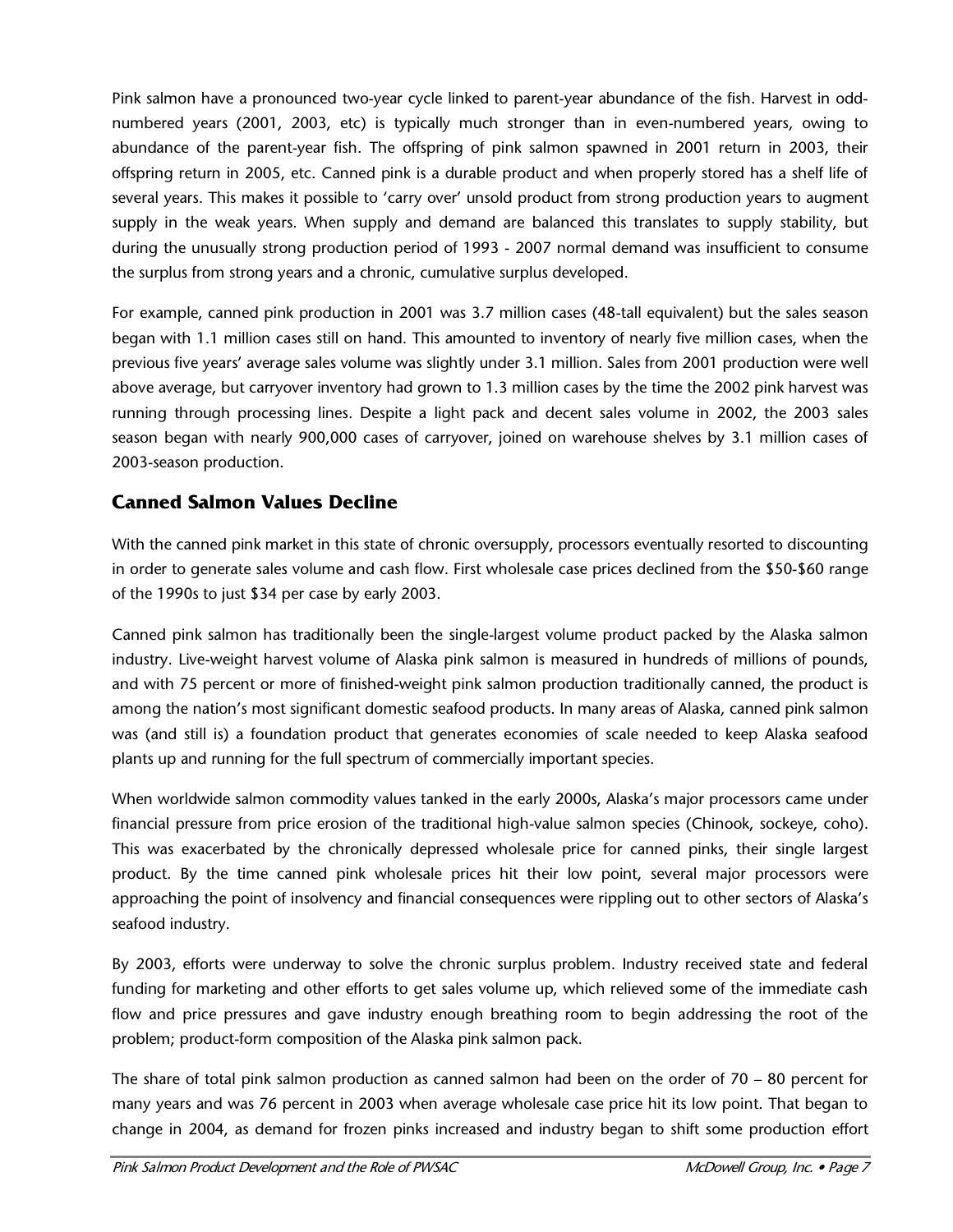Pink salmon have a pronounced two-year cycle linked to parent-year abundance of the fish. Harvest in oddnumbered years (2001, 2003, etc) is typically much stronger than in even-numbered years, owing to abundance of the parent-year fish. The offspring of pink salmon spawned in 2001 return in 2003, their offspring return in 2005, etc. Canned pink is a durable product and when properly stored has a shelf life of several years. This makes it possible to 'carry over' unsold product from strong production years to augment supply in the weak years. When supply and demand are balanced this translates to supply stability, but during the unusually strong production period of 1993 - 2007 normal demand was insufficient to consume the surplus from strong years and a chronic, cumulative surplus developed.

For example, canned pink production in 2001 was 3.7 million cases (48-tall equivalent) but the sales season began with 1.1 million cases still on hand. This amounted to inventory of nearly five million cases, when the previous five years' average sales volume was slightly under 3.1 million. Sales from 2001 production were well above average, but carryover inventory had grown to 1.3 million cases by the time the 2002 pink harvest was running through processing lines. Despite a light pack and decent sales volume in 2002, the 2003 sales season began with nearly 900,000 cases of carryover, joined on warehouse shelves by 3.1 million cases of 2003-season production.

## **Canned Salmon Values Decline**

With the canned pink market in this state of chronic oversupply, processors eventually resorted to discounting in order to generate sales volume and cash flow. First wholesale case prices declined from the \$50-\$60 range of the 1990s to just \$34 per case by early 2003.

Canned pink salmon has traditionally been the single-largest volume product packed by the Alaska salmon industry. Live-weight harvest volume of Alaska pink salmon is measured in hundreds of millions of pounds, and with 75 percent or more of finished-weight pink salmon production traditionally canned, the product is among the nation's most significant domestic seafood products. In many areas of Alaska, canned pink salmon was (and still is) a foundation product that generates economies of scale needed to keep Alaska seafood plants up and running for the full spectrum of commercially important species.

When worldwide salmon commodity values tanked in the early 2000s, Alaska's major processors came under financial pressure from price erosion of the traditional high-value salmon species (Chinook, sockeye, coho). This was exacerbated by the chronically depressed wholesale price for canned pinks, their single largest product. By the time canned pink wholesale prices hit their low point, several major processors were approaching the point of insolvency and financial consequences were rippling out to other sectors of Alaska's seafood industry.

By 2003, efforts were underway to solve the chronic surplus problem. Industry received state and federal funding for marketing and other efforts to get sales volume up, which relieved some of the immediate cash flow and price pressures and gave industry enough breathing room to begin addressing the root of the problem; product-form composition of the Alaska pink salmon pack.

The share of total pink salmon production as canned salmon had been on the order of 70 – 80 percent for many years and was 76 percent in 2003 when average wholesale case price hit its low point. That began to change in 2004, as demand for frozen pinks increased and industry began to shift some production effort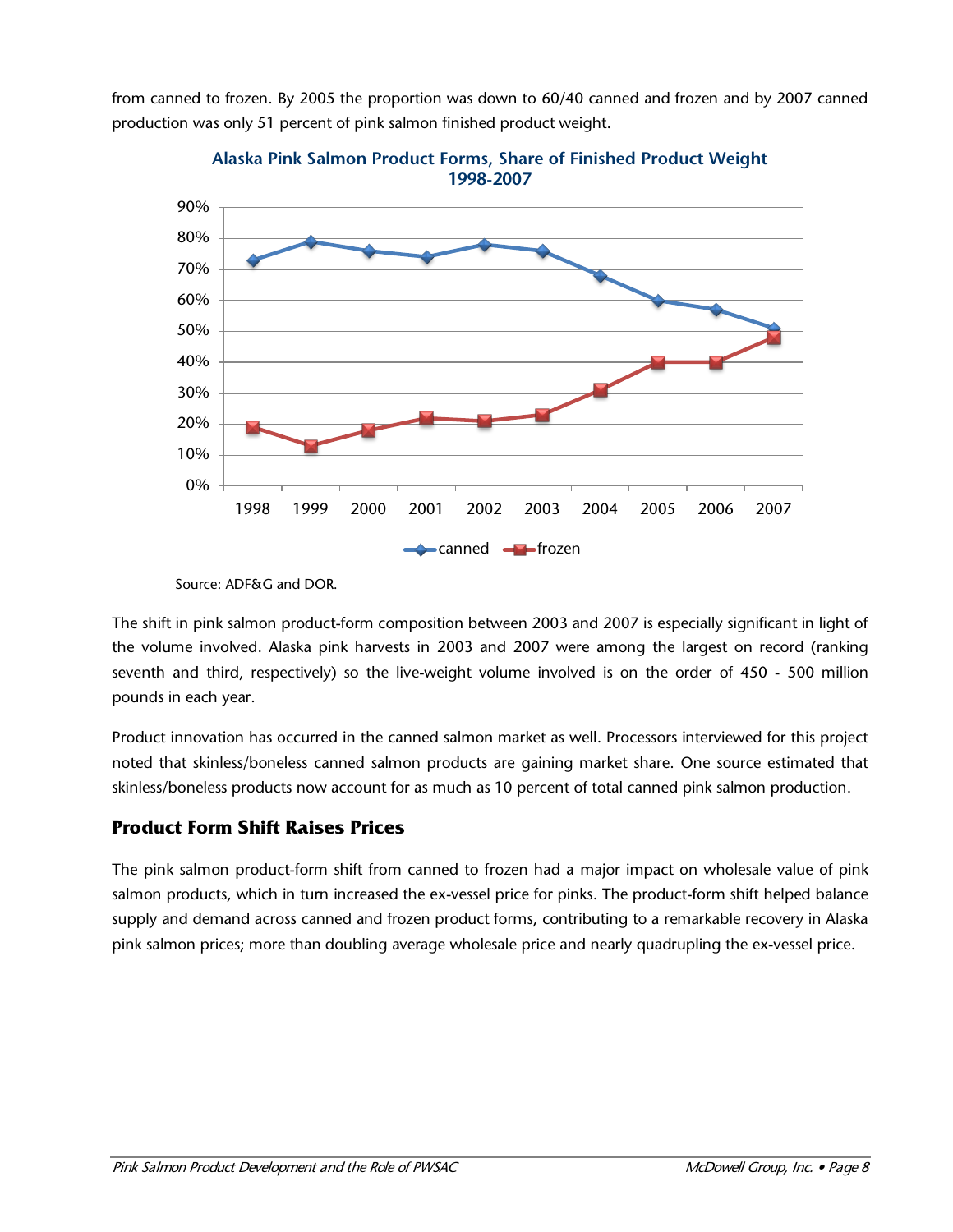from canned to frozen. By 2005 the proportion was down to 60/40 canned and frozen and by 2007 canned production was only 51 percent of pink salmon finished product weight.



**Alaska Pink Salmon Product Forms, Share of Finished Product Weight 1998-2007**

The shift in pink salmon product-form composition between 2003 and 2007 is especially significant in light of the volume involved. Alaska pink harvests in 2003 and 2007 were among the largest on record (ranking seventh and third, respectively) so the live-weight volume involved is on the order of 450 - 500 million pounds in each year.

Product innovation has occurred in the canned salmon market as well. Processors interviewed for this project noted that skinless/boneless canned salmon products are gaining market share. One source estimated that skinless/boneless products now account for as much as 10 percent of total canned pink salmon production.

# **Product Form Shift Raises Prices**

The pink salmon product-form shift from canned to frozen had a major impact on wholesale value of pink salmon products, which in turn increased the ex-vessel price for pinks. The product-form shift helped balance supply and demand across canned and frozen product forms, contributing to a remarkable recovery in Alaska pink salmon prices; more than doubling average wholesale price and nearly quadrupling the ex-vessel price.

Source: ADF&G and DOR.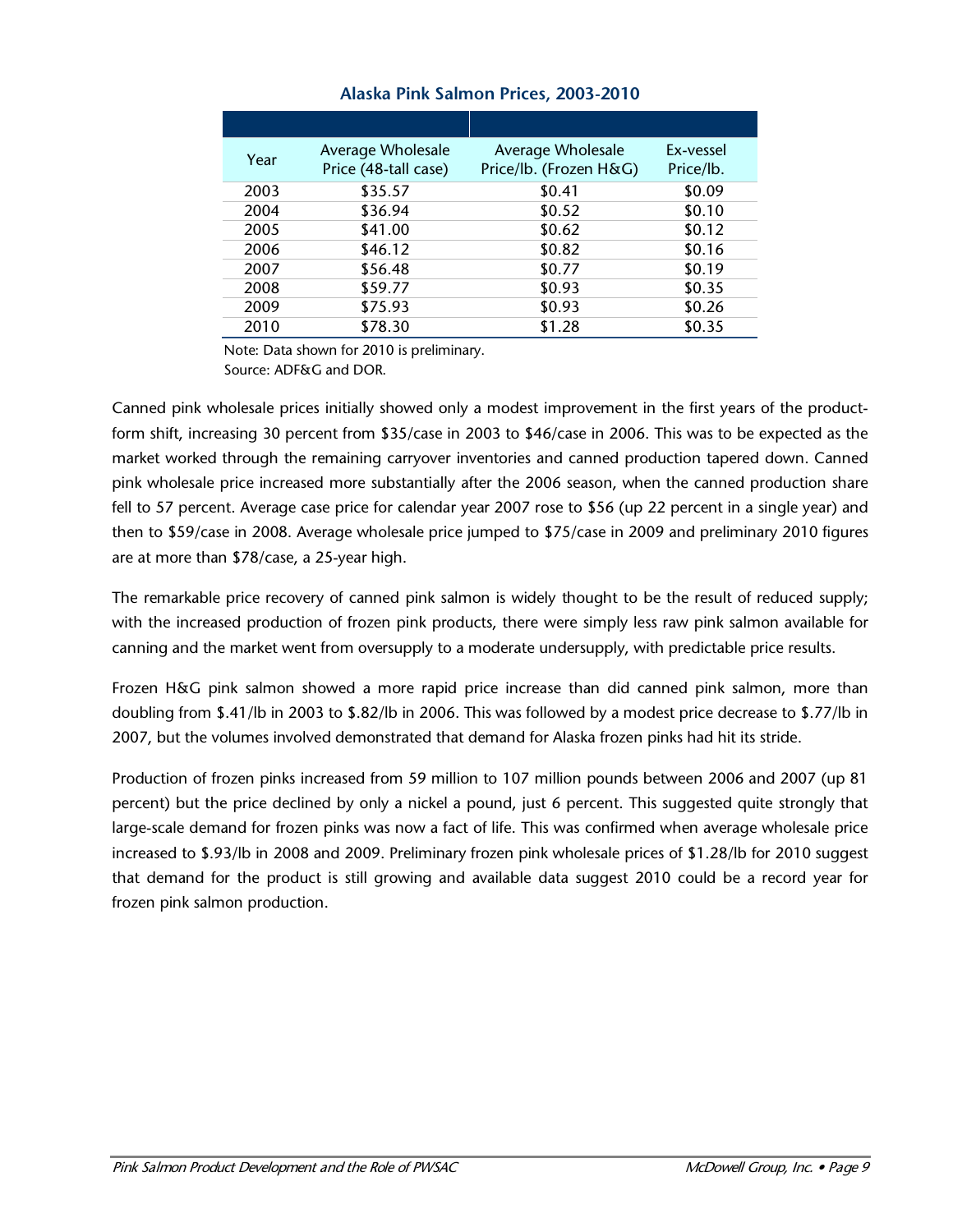| Year | Average Wholesale<br>Price (48-tall case) | Average Wholesale<br>Price/lb. (Frozen H&G) | Ex-vessel<br>Price/lb. |
|------|-------------------------------------------|---------------------------------------------|------------------------|
| 2003 | \$35.57                                   | \$0.41                                      | \$0.09                 |
| 2004 | \$36.94                                   | \$0.52                                      | \$0.10                 |
| 2005 | \$41.00                                   | \$0.62                                      | \$0.12                 |
| 2006 | \$46.12                                   | \$0.82                                      | \$0.16                 |
| 2007 | \$56.48                                   | \$0.77                                      | \$0.19                 |
| 2008 | \$59.77                                   | \$0.93                                      | \$0.35                 |
| 2009 | \$75.93                                   | \$0.93                                      | \$0.26                 |
| 2010 | \$78.30                                   | \$1.28                                      | \$0.35                 |

#### **Alaska Pink Salmon Prices, 2003-2010**

Note: Data shown for 2010 is preliminary.

Source: ADF&G and DOR.

Canned pink wholesale prices initially showed only a modest improvement in the first years of the productform shift, increasing 30 percent from \$35/case in 2003 to \$46/case in 2006. This was to be expected as the market worked through the remaining carryover inventories and canned production tapered down. Canned pink wholesale price increased more substantially after the 2006 season, when the canned production share fell to 57 percent. Average case price for calendar year 2007 rose to \$56 (up 22 percent in a single year) and then to \$59/case in 2008. Average wholesale price jumped to \$75/case in 2009 and preliminary 2010 figures are at more than \$78/case, a 25-year high.

The remarkable price recovery of canned pink salmon is widely thought to be the result of reduced supply; with the increased production of frozen pink products, there were simply less raw pink salmon available for canning and the market went from oversupply to a moderate undersupply, with predictable price results.

Frozen H&G pink salmon showed a more rapid price increase than did canned pink salmon, more than doubling from \$.41/lb in 2003 to \$.82/lb in 2006. This was followed by a modest price decrease to \$.77/lb in 2007, but the volumes involved demonstrated that demand for Alaska frozen pinks had hit its stride.

Production of frozen pinks increased from 59 million to 107 million pounds between 2006 and 2007 (up 81 percent) but the price declined by only a nickel a pound, just 6 percent. This suggested quite strongly that large-scale demand for frozen pinks was now a fact of life. This was confirmed when average wholesale price increased to \$.93/lb in 2008 and 2009. Preliminary frozen pink wholesale prices of \$1.28/lb for 2010 suggest that demand for the product is still growing and available data suggest 2010 could be a record year for frozen pink salmon production.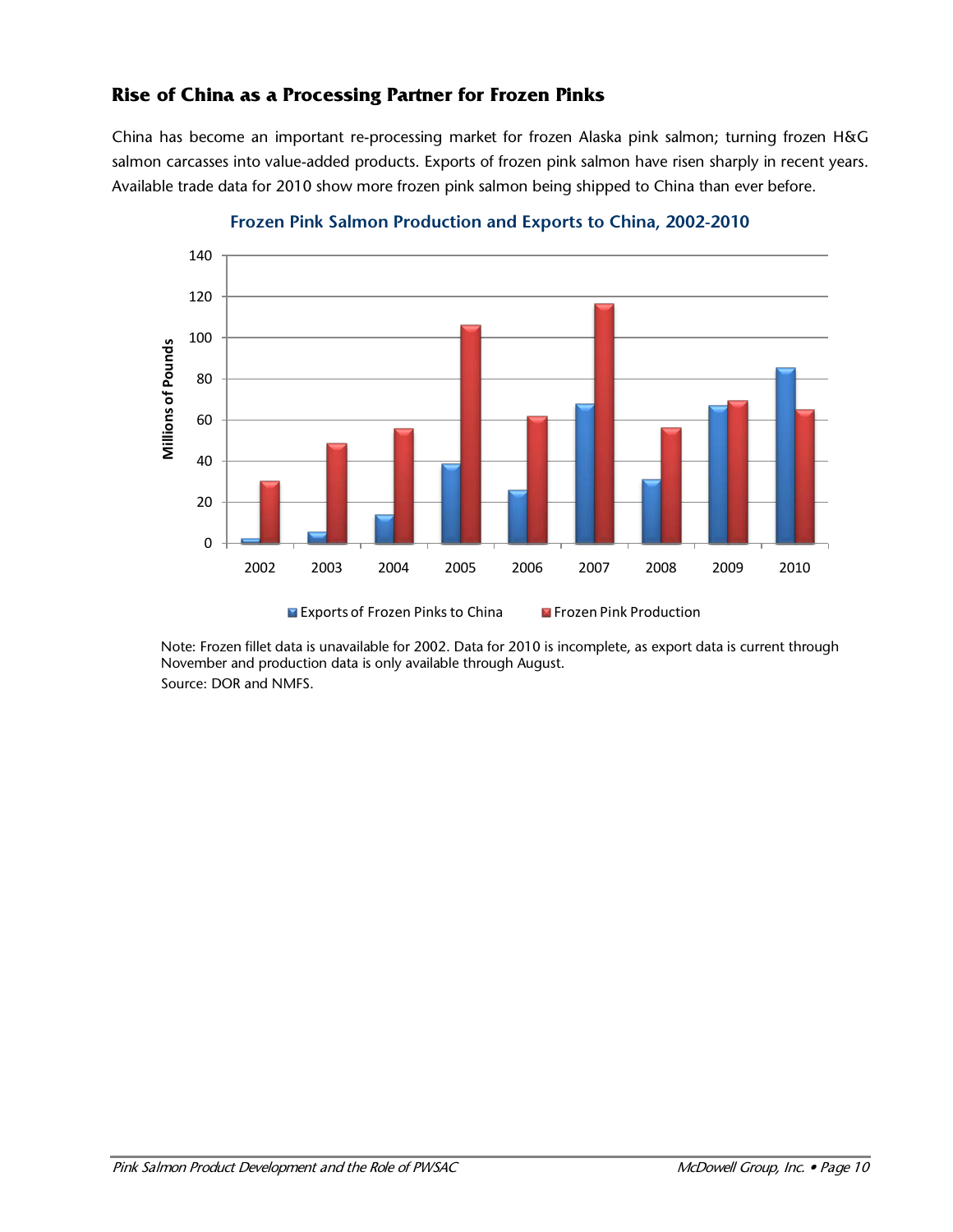#### **Rise of China as a Processing Partner for Frozen Pinks**

China has become an important re-processing market for frozen Alaska pink salmon; turning frozen H&G salmon carcasses into value-added products. Exports of frozen pink salmon have risen sharply in recent years. Available trade data for 2010 show more frozen pink salmon being shipped to China than ever before.



**Frozen Pink Salmon Production and Exports to China, 2002-2010**

Note: Frozen fillet data is unavailable for 2002. Data for 2010 is incomplete, as export data is current through November and production data is only available through August. Source: DOR and NMFS.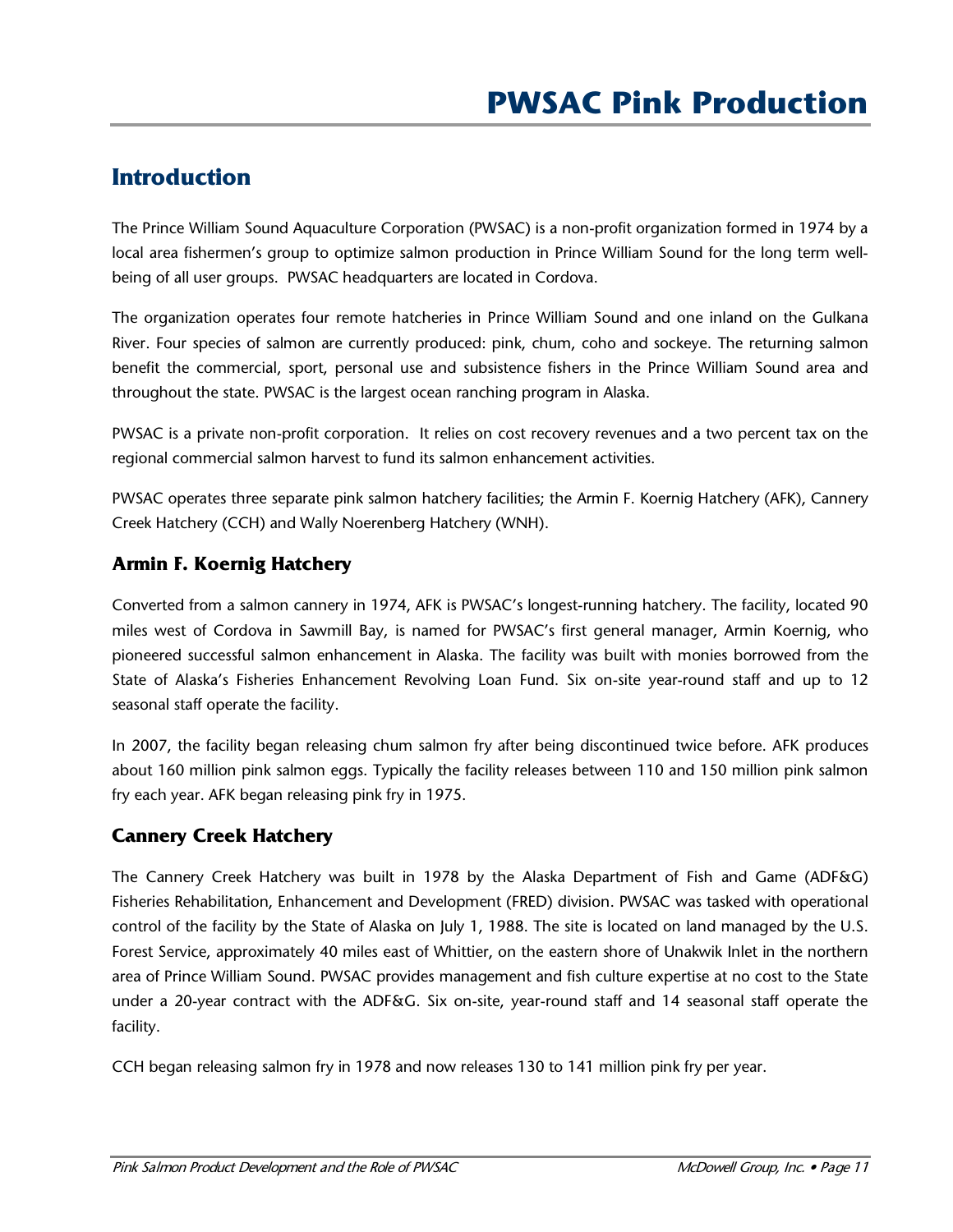# **Introduction**

The Prince William Sound Aquaculture Corporation (PWSAC) is a non-profit organization formed in 1974 by a local area fishermen's group to optimize salmon production in Prince William Sound for the long term wellbeing of all user groups. PWSAC headquarters are located in Cordova.

The organization operates four remote hatcheries in Prince William Sound and one inland on the Gulkana River. Four species of salmon are currently produced: pink, chum, coho and sockeye. The returning salmon benefit the commercial, sport, personal use and subsistence fishers in the Prince William Sound area and throughout the state. PWSAC is the largest ocean ranching program in Alaska.

PWSAC is a private non-profit corporation. It relies on cost recovery revenues and a two percent tax on the regional commercial salmon harvest to fund its salmon enhancement activities.

PWSAC operates three separate pink salmon hatchery facilities; the Armin F. Koernig Hatchery (AFK), Cannery Creek Hatchery (CCH) and Wally Noerenberg Hatchery (WNH).

# **Armin F. Koernig Hatchery**

Converted from a salmon cannery in 1974, AFK is PWSAC's longest-running hatchery. The facility, located 90 miles west of Cordova in Sawmill Bay, is named for PWSAC's first general manager, Armin Koernig, who pioneered successful salmon enhancement in Alaska. The facility was built with monies borrowed from the State of Alaska's Fisheries Enhancement Revolving Loan Fund. Six on-site year-round staff and up to 12 seasonal staff operate the facility.

In 2007, the facility began releasing chum salmon fry after being discontinued twice before. AFK produces about 160 million pink salmon eggs. Typically the facility releases between 110 and 150 million pink salmon fry each year. AFK began releasing pink fry in 1975.

# **Cannery Creek Hatchery**

The Cannery Creek Hatchery was built in 1978 by the Alaska Department of Fish and Game (ADF&G) Fisheries Rehabilitation, Enhancement and Development (FRED) division. PWSAC was tasked with operational control of the facility by the State of Alaska on July 1, 1988. The site is located on land managed by the U.S. Forest Service, approximately 40 miles east of Whittier, on the eastern shore of Unakwik Inlet in the northern area of Prince William Sound. PWSAC provides management and fish culture expertise at no cost to the State under a 20-year contract with the ADF&G. Six on-site, year-round staff and 14 seasonal staff operate the facility.

CCH began releasing salmon fry in 1978 and now releases 130 to 141 million pink fry per year.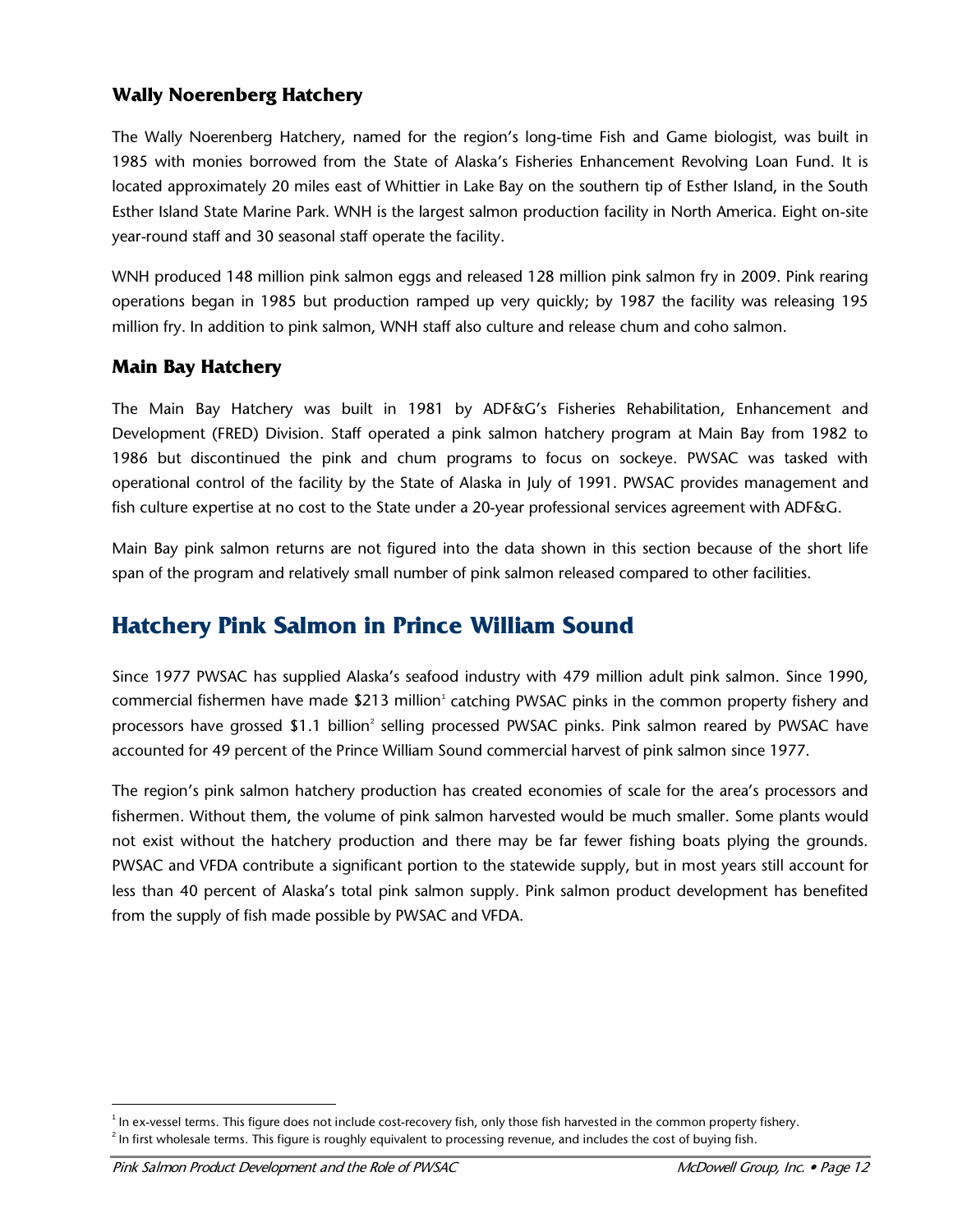### **Wally Noerenberg Hatchery**

The Wally Noerenberg Hatchery, named for the region's long-time Fish and Game biologist, was built in 1985 with monies borrowed from the State of Alaska's Fisheries Enhancement Revolving Loan Fund. It is located approximately 20 miles east of Whittier in Lake Bay on the southern tip of Esther Island, in the South Esther Island State Marine Park. WNH is the largest salmon production facility in North America. Eight on-site year-round staff and 30 seasonal staff operate the facility.

WNH produced 148 million pink salmon eggs and released 128 million pink salmon fry in 2009. Pink rearing operations began in 1985 but production ramped up very quickly; by 1987 the facility was releasing 195 million fry. In addition to pink salmon, WNH staff also culture and release chum and coho salmon.

#### **Main Bay Hatchery**

The Main Bay Hatchery was built in 1981 by ADF&G's Fisheries Rehabilitation, Enhancement and Development (FRED) Division. Staff operated a pink salmon hatchery program at Main Bay from 1982 to 1986 but discontinued the pink and chum programs to focus on sockeye. PWSAC was tasked with operational control of the facility by the State of Alaska in July of 1991. PWSAC provides management and fish culture expertise at no cost to the State under a 20-year professional services agreement with ADF&G.

Main Bay pink salmon returns are not figured into the data shown in this section because of the short life span of the program and relatively small number of pink salmon released compared to other facilities.

# **Hatchery Pink Salmon in Prince William Sound**

Since 1977 PWSAC has supplied Alaska's seafood industry with 479 million adult pink salmon. Since 1990, commercial fishermen have made \$2[1](#page-13-0)3 million' catching PWSAC pinks in the common property fishery and processors have grossed \$1.1 billion<sup>[2](#page-13-1)</sup> selling processed PWSAC pinks. Pink salmon reared by PWSAC have accounted for 49 percent of the Prince William Sound commercial harvest of pink salmon since 1977.

The region's pink salmon hatchery production has created economies of scale for the area's processors and fishermen. Without them, the volume of pink salmon harvested would be much smaller. Some plants would not exist without the hatchery production and there may be far fewer fishing boats plying the grounds. PWSAC and VFDA contribute a significant portion to the statewide supply, but in most years still account for less than 40 percent of Alaska's total pink salmon supply. Pink salmon product development has benefited from the supply of fish made possible by PWSAC and VFDA.

<span id="page-13-1"></span><span id="page-13-0"></span><sup>|&</sup>lt;br>1 <sup>1</sup> In ex-vessel terms. This figure does not include cost-recovery fish, only those fish harvested in the common property fishery. <sup>2</sup> In first wholesale terms. This figure is roughly equivalent to processing revenue, and includes the cost of buying fish.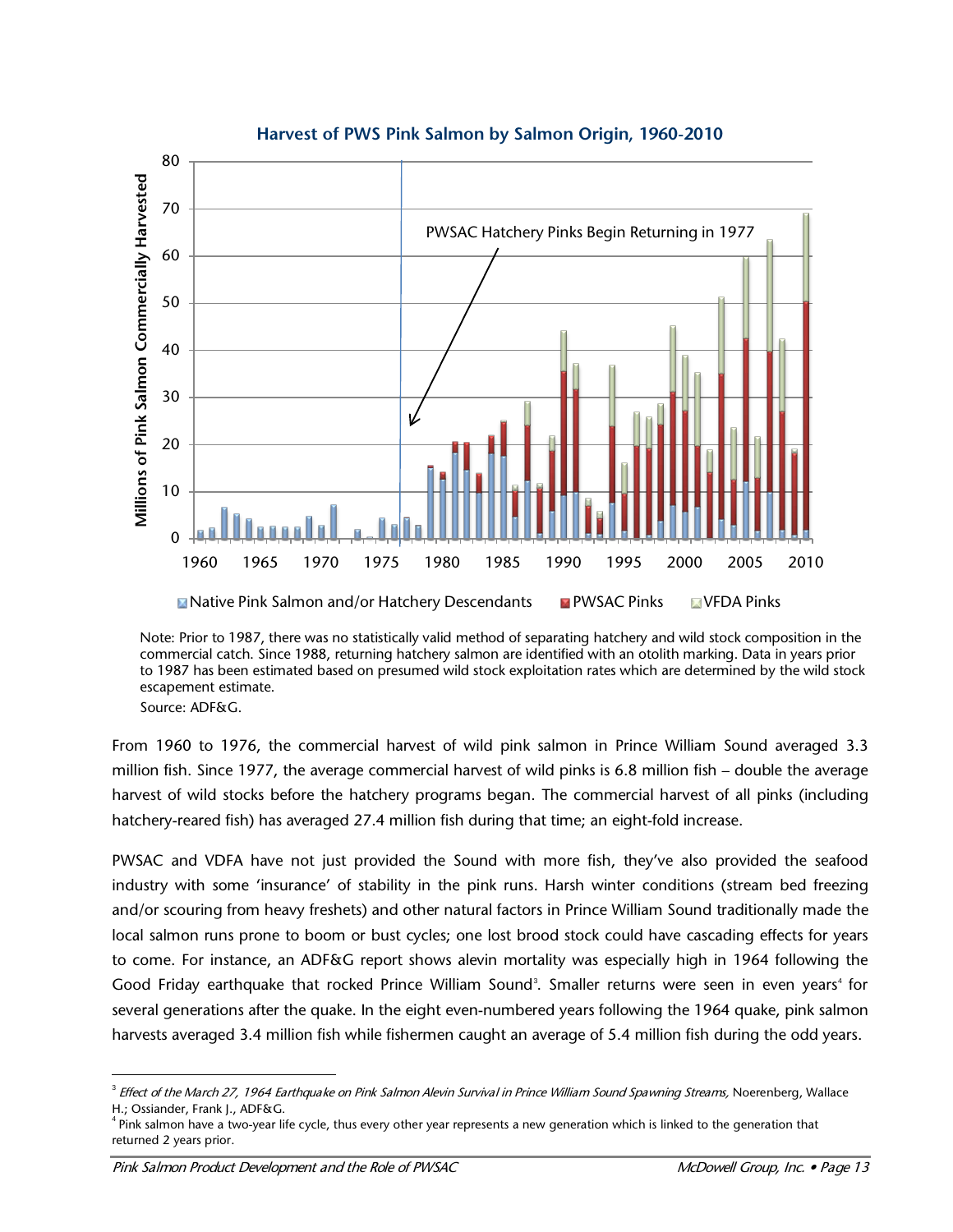

**Harvest of PWS Pink Salmon by Salmon Origin, 1960-2010**

Note: Prior to 1987, there was no statistically valid method of separating hatchery and wild stock composition in the commercial catch. Since 1988, returning hatchery salmon are identified with an otolith marking. Data in years prior to 1987 has been estimated based on presumed wild stock exploitation rates which are determined by the wild stock escapement estimate.

Source: ADF&G.

From 1960 to 1976, the commercial harvest of wild pink salmon in Prince William Sound averaged 3.3 million fish. Since 1977, the average commercial harvest of wild pinks is 6.8 million fish – double the average harvest of wild stocks before the hatchery programs began. The commercial harvest of all pinks (including hatchery-reared fish) has averaged 27.4 million fish during that time; an eight-fold increase.

PWSAC and VDFA have not just provided the Sound with more fish, they've also provided the seafood industry with some 'insurance' of stability in the pink runs. Harsh winter conditions (stream bed freezing and/or scouring from heavy freshets) and other natural factors in Prince William Sound traditionally made the local salmon runs prone to boom or bust cycles; one lost brood stock could have cascading effects for years to come. For instance, an ADF&G report shows alevin mortality was especially high in 1964 following the Good Friday earthquake that rocked Prince William Sound<sup>[3](#page-14-0)</sup>. Smaller returns were seen in even years<sup>[4](#page-14-1)</sup> for several generations after the quake. In the eight even-numbered years following the 1964 quake, pink salmon harvests averaged 3.4 million fish while fishermen caught an average of 5.4 million fish during the odd years.

<span id="page-14-0"></span><sup>-&</sup>lt;br>3 <sup>3</sup> Effect of the March 27, 1964 Earthquake on Pink Salmon Alevin Survival in Prince William Sound Spawning Streams, Noerenberg, Wallace H.; Ossiander, Frank J., ADF&G.

<span id="page-14-1"></span><sup>&</sup>lt;sup>4</sup> Pink salmon have a two-year life cycle, thus every other year represents a new generation which is linked to the generation that returned 2 years prior.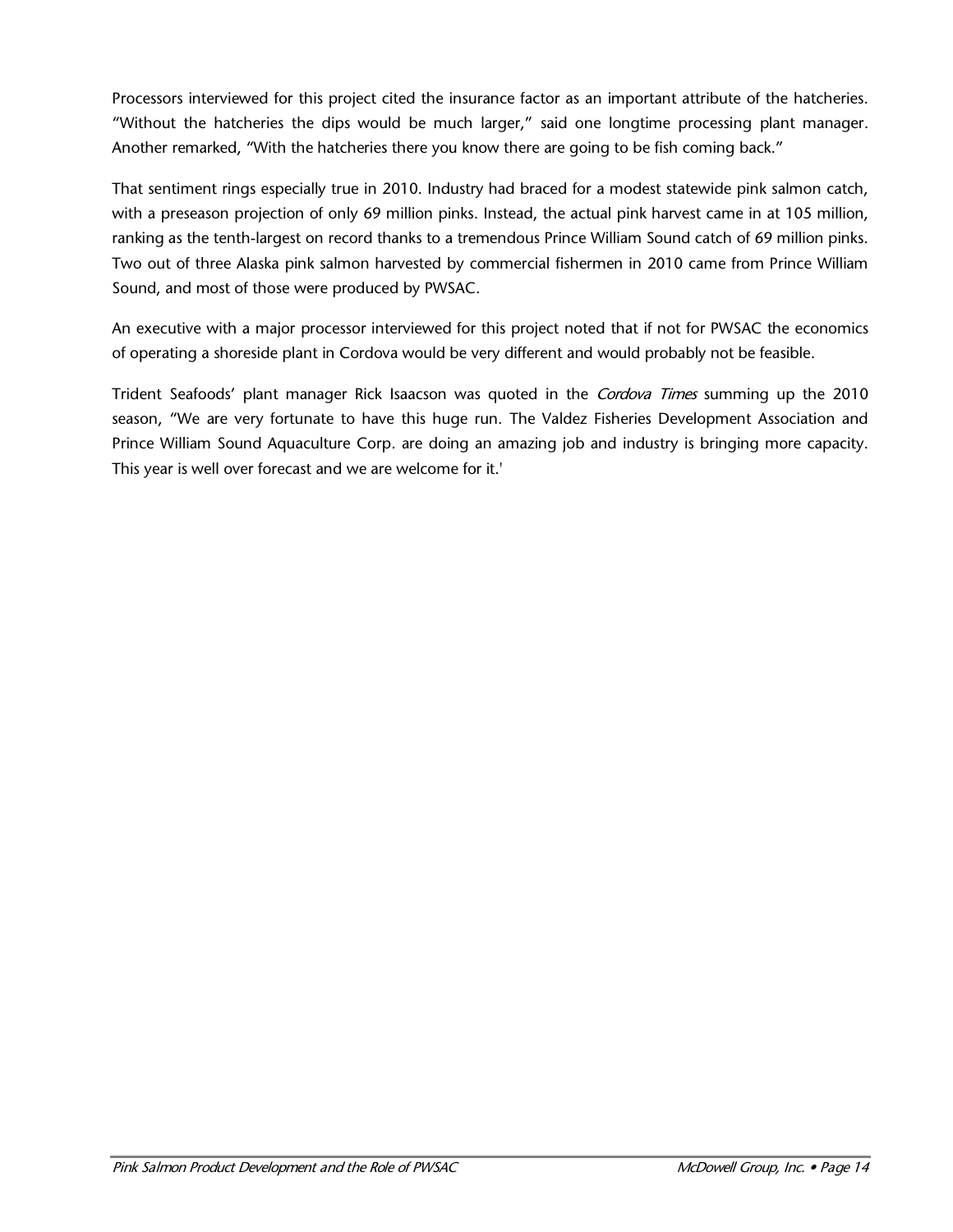Processors interviewed for this project cited the insurance factor as an important attribute of the hatcheries. "Without the hatcheries the dips would be much larger," said one longtime processing plant manager. Another remarked, "With the hatcheries there you know there are going to be fish coming back."

That sentiment rings especially true in 2010. Industry had braced for a modest statewide pink salmon catch, with a preseason projection of only 69 million pinks. Instead, the actual pink harvest came in at 105 million, ranking as the tenth-largest on record thanks to a tremendous Prince William Sound catch of 69 million pinks. Two out of three Alaska pink salmon harvested by commercial fishermen in 2010 came from Prince William Sound, and most of those were produced by PWSAC.

An executive with a major processor interviewed for this project noted that if not for PWSAC the economics of operating a shoreside plant in Cordova would be very different and would probably not be feasible.

Trident Seafoods' plant manager Rick Isaacson was quoted in the *Cordova Times* summing up the 2010 season, "We are very fortunate to have this huge run. The Valdez Fisheries Development Association and Prince William Sound Aquaculture Corp. are doing an amazing job and industry is bringing more capacity. This year is well over forecast and we are welcome for it.'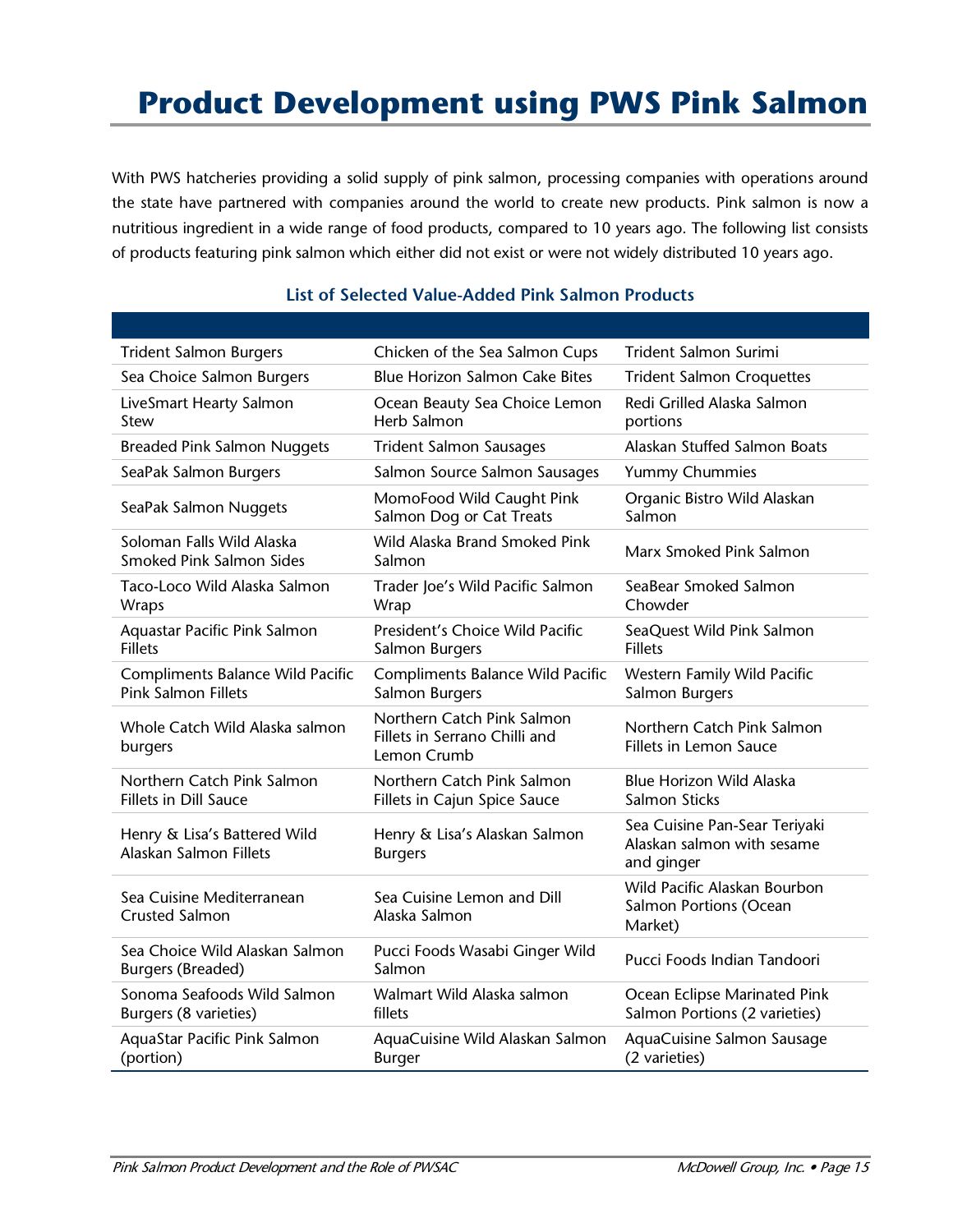# **Product Development using PWS Pink Salmon**

With PWS hatcheries providing a solid supply of pink salmon, processing companies with operations around the state have partnered with companies around the world to create new products. Pink salmon is now a nutritious ingredient in a wide range of food products, compared to 10 years ago. The following list consists of products featuring pink salmon which either did not exist or were not widely distributed 10 years ago.

| <b>Trident Salmon Burgers</b>                                  | Chicken of the Sea Salmon Cups                                             | Trident Salmon Surimi                                                     |
|----------------------------------------------------------------|----------------------------------------------------------------------------|---------------------------------------------------------------------------|
| Sea Choice Salmon Burgers                                      | <b>Blue Horizon Salmon Cake Bites</b>                                      | <b>Trident Salmon Croquettes</b>                                          |
| LiveSmart Hearty Salmon<br>Stew                                | Ocean Beauty Sea Choice Lemon<br><b>Herb Salmon</b>                        | Redi Grilled Alaska Salmon<br>portions                                    |
| <b>Breaded Pink Salmon Nuggets</b>                             | <b>Trident Salmon Sausages</b>                                             | Alaskan Stuffed Salmon Boats                                              |
| SeaPak Salmon Burgers                                          | Salmon Source Salmon Sausages                                              | Yummy Chummies                                                            |
| SeaPak Salmon Nuggets                                          | MomoFood Wild Caught Pink<br>Salmon Dog or Cat Treats                      | Organic Bistro Wild Alaskan<br>Salmon                                     |
| Soloman Falls Wild Alaska<br>Smoked Pink Salmon Sides          | Wild Alaska Brand Smoked Pink<br>Salmon                                    | Marx Smoked Pink Salmon                                                   |
| Taco-Loco Wild Alaska Salmon<br>Wraps                          | Trader Joe's Wild Pacific Salmon<br>Wrap                                   | SeaBear Smoked Salmon<br>Chowder                                          |
| Aquastar Pacific Pink Salmon<br><b>Fillets</b>                 | President's Choice Wild Pacific<br>Salmon Burgers                          | SeaQuest Wild Pink Salmon<br><b>Fillets</b>                               |
| Compliments Balance Wild Pacific<br><b>Pink Salmon Fillets</b> | Compliments Balance Wild Pacific<br>Salmon Burgers                         | Western Family Wild Pacific<br>Salmon Burgers                             |
| Whole Catch Wild Alaska salmon<br>burgers                      | Northern Catch Pink Salmon<br>Fillets in Serrano Chilli and<br>Lemon Crumb | Northern Catch Pink Salmon<br><b>Fillets in Lemon Sauce</b>               |
| Northern Catch Pink Salmon<br>Fillets in Dill Sauce            | Northern Catch Pink Salmon<br>Fillets in Cajun Spice Sauce                 | <b>Blue Horizon Wild Alaska</b><br>Salmon Sticks                          |
| Henry & Lisa's Battered Wild<br>Alaskan Salmon Fillets         | Henry & Lisa's Alaskan Salmon<br><b>Burgers</b>                            | Sea Cuisine Pan-Sear Teriyaki<br>Alaskan salmon with sesame<br>and ginger |
| Sea Cuisine Mediterranean<br><b>Crusted Salmon</b>             | Sea Cuisine Lemon and Dill<br>Alaska Salmon                                | Wild Pacific Alaskan Bourbon<br>Salmon Portions (Ocean<br>Market)         |
| Sea Choice Wild Alaskan Salmon<br><b>Burgers (Breaded)</b>     | Pucci Foods Wasabi Ginger Wild<br>Salmon                                   | Pucci Foods Indian Tandoori                                               |
| Sonoma Seafoods Wild Salmon<br>Burgers (8 varieties)           | Walmart Wild Alaska salmon<br>fillets                                      | Ocean Eclipse Marinated Pink<br>Salmon Portions (2 varieties)             |
| AquaStar Pacific Pink Salmon<br>(portion)                      | AquaCuisine Wild Alaskan Salmon<br><b>Burger</b>                           | AquaCuisine Salmon Sausage<br>(2 varieties)                               |

#### **List of Selected Value-Added Pink Salmon Products**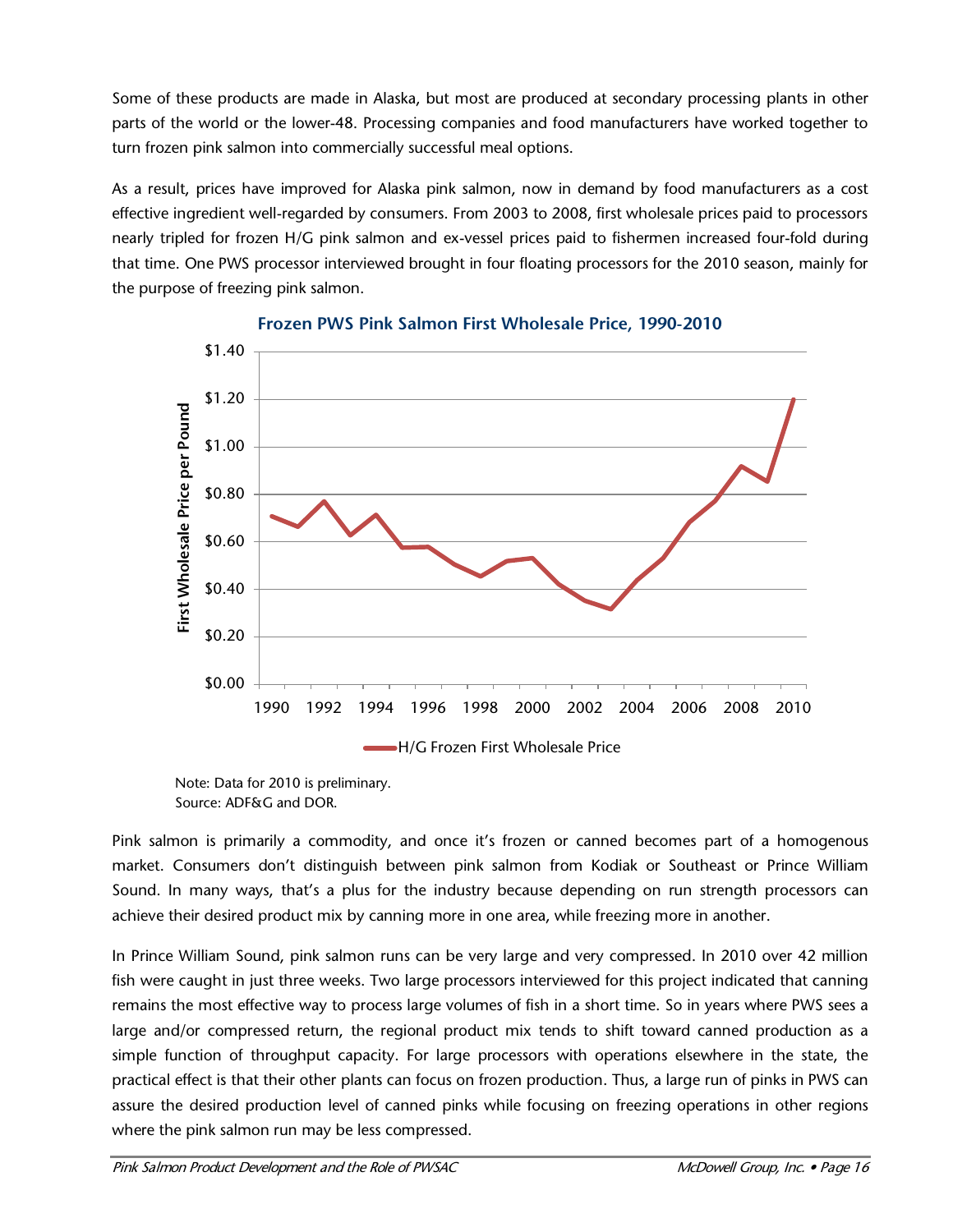Some of these products are made in Alaska, but most are produced at secondary processing plants in other parts of the world or the lower-48. Processing companies and food manufacturers have worked together to turn frozen pink salmon into commercially successful meal options.

As a result, prices have improved for Alaska pink salmon, now in demand by food manufacturers as a cost effective ingredient well-regarded by consumers. From 2003 to 2008, first wholesale prices paid to processors nearly tripled for frozen H/G pink salmon and ex-vessel prices paid to fishermen increased four-fold during that time. One PWS processor interviewed brought in four floating processors for the 2010 season, mainly for the purpose of freezing pink salmon.



#### **Frozen PWS Pink Salmon First Wholesale Price, 1990-2010**

Pink salmon is primarily a commodity, and once it's frozen or canned becomes part of a homogenous market. Consumers don't distinguish between pink salmon from Kodiak or Southeast or Prince William Sound. In many ways, that's a plus for the industry because depending on run strength processors can achieve their desired product mix by canning more in one area, while freezing more in another.

In Prince William Sound, pink salmon runs can be very large and very compressed. In 2010 over 42 million fish were caught in just three weeks. Two large processors interviewed for this project indicated that canning remains the most effective way to process large volumes of fish in a short time. So in years where PWS sees a large and/or compressed return, the regional product mix tends to shift toward canned production as a simple function of throughput capacity. For large processors with operations elsewhere in the state, the practical effect is that their other plants can focus on frozen production. Thus, a large run of pinks in PWS can assure the desired production level of canned pinks while focusing on freezing operations in other regions where the pink salmon run may be less compressed.

Note: Data for 2010 is preliminary. Source: ADF&G and DOR.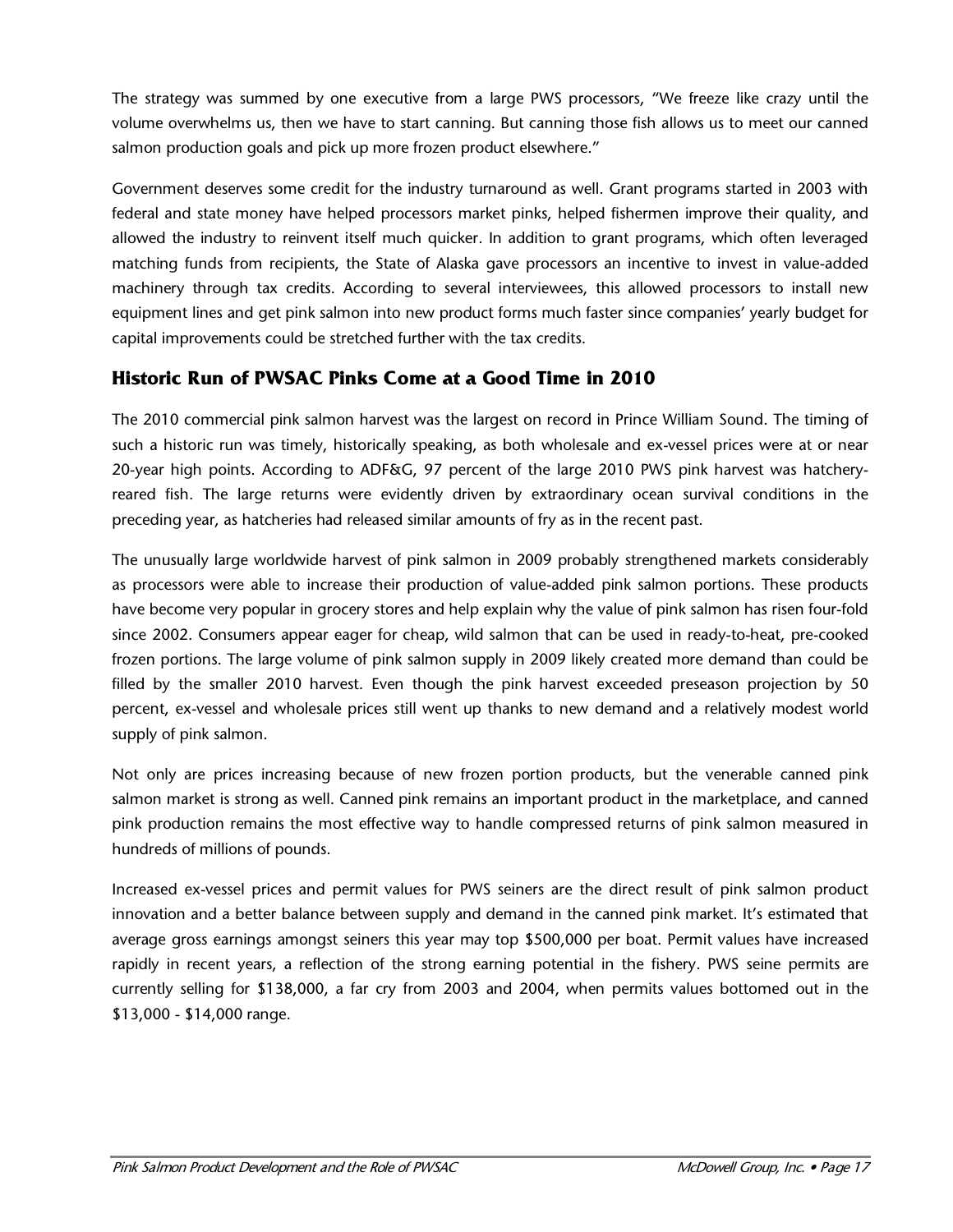The strategy was summed by one executive from a large PWS processors, "We freeze like crazy until the volume overwhelms us, then we have to start canning. But canning those fish allows us to meet our canned salmon production goals and pick up more frozen product elsewhere."

Government deserves some credit for the industry turnaround as well. Grant programs started in 2003 with federal and state money have helped processors market pinks, helped fishermen improve their quality, and allowed the industry to reinvent itself much quicker. In addition to grant programs, which often leveraged matching funds from recipients, the State of Alaska gave processors an incentive to invest in value-added machinery through tax credits. According to several interviewees, this allowed processors to install new equipment lines and get pink salmon into new product forms much faster since companies' yearly budget for capital improvements could be stretched further with the tax credits.

### **Historic Run of PWSAC Pinks Come at a Good Time in 2010**

The 2010 commercial pink salmon harvest was the largest on record in Prince William Sound. The timing of such a historic run was timely, historically speaking, as both wholesale and ex-vessel prices were at or near 20-year high points. According to ADF&G, 97 percent of the large 2010 PWS pink harvest was hatcheryreared fish. The large returns were evidently driven by extraordinary ocean survival conditions in the preceding year, as hatcheries had released similar amounts of fry as in the recent past.

The unusually large worldwide harvest of pink salmon in 2009 probably strengthened markets considerably as processors were able to increase their production of value-added pink salmon portions. These products have become very popular in grocery stores and help explain why the value of pink salmon has risen four-fold since 2002. Consumers appear eager for cheap, wild salmon that can be used in ready-to-heat, pre-cooked frozen portions. The large volume of pink salmon supply in 2009 likely created more demand than could be filled by the smaller 2010 harvest. Even though the pink harvest exceeded preseason projection by 50 percent, ex-vessel and wholesale prices still went up thanks to new demand and a relatively modest world supply of pink salmon.

Not only are prices increasing because of new frozen portion products, but the venerable canned pink salmon market is strong as well. Canned pink remains an important product in the marketplace, and canned pink production remains the most effective way to handle compressed returns of pink salmon measured in hundreds of millions of pounds.

Increased ex-vessel prices and permit values for PWS seiners are the direct result of pink salmon product innovation and a better balance between supply and demand in the canned pink market. It's estimated that average gross earnings amongst seiners this year may top \$500,000 per boat. Permit values have increased rapidly in recent years, a reflection of the strong earning potential in the fishery. PWS seine permits are currently selling for \$138,000, a far cry from 2003 and 2004, when permits values bottomed out in the \$13,000 - \$14,000 range.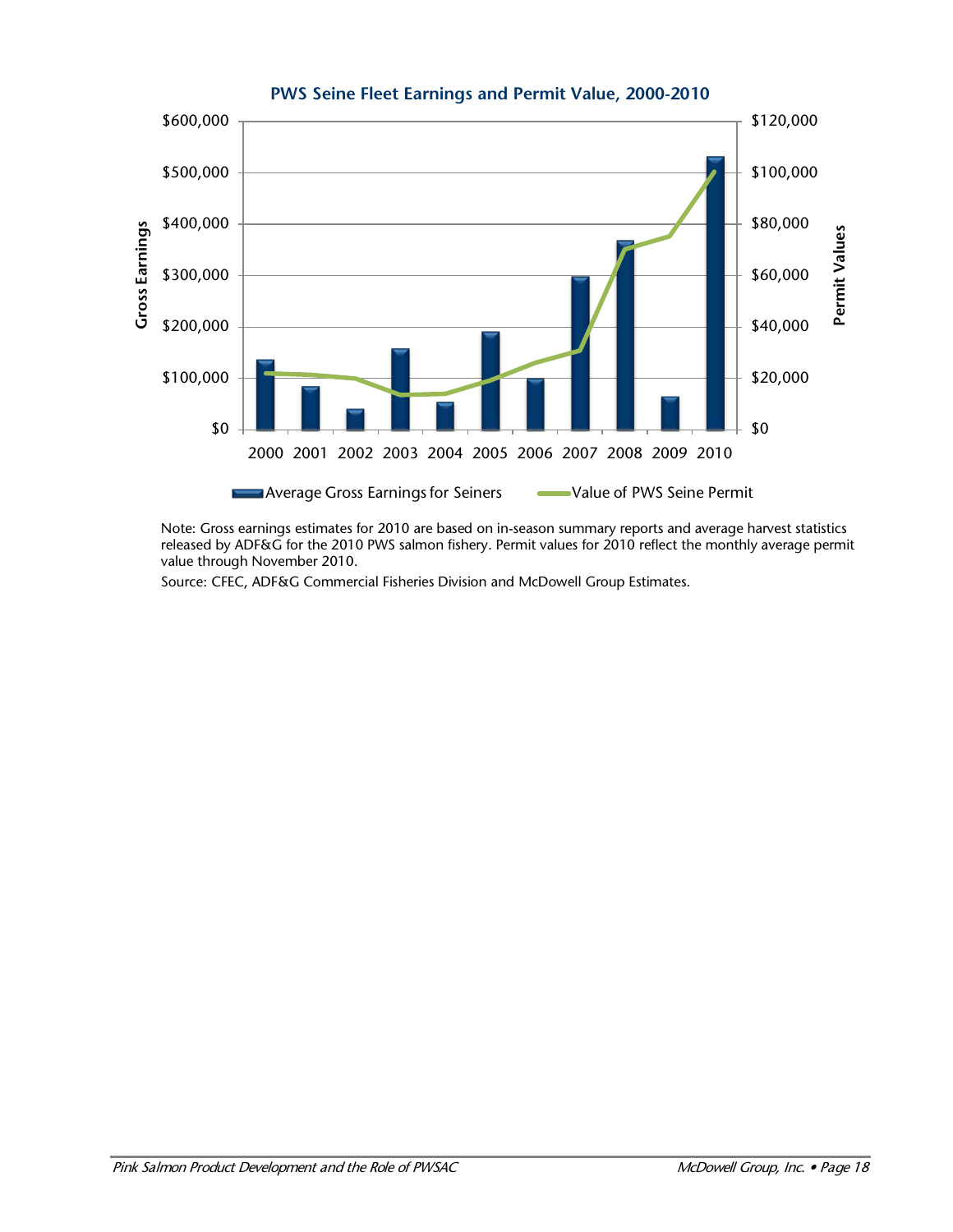

**PWS Seine Fleet Earnings and Permit Value, 2000-2010**

Note: Gross earnings estimates for 2010 are based on in-season summary reports and average harvest statistics released by ADF&G for the 2010 PWS salmon fishery. Permit values for 2010 reflect the monthly average permit value through November 2010.

Source: CFEC, ADF&G Commercial Fisheries Division and McDowell Group Estimates.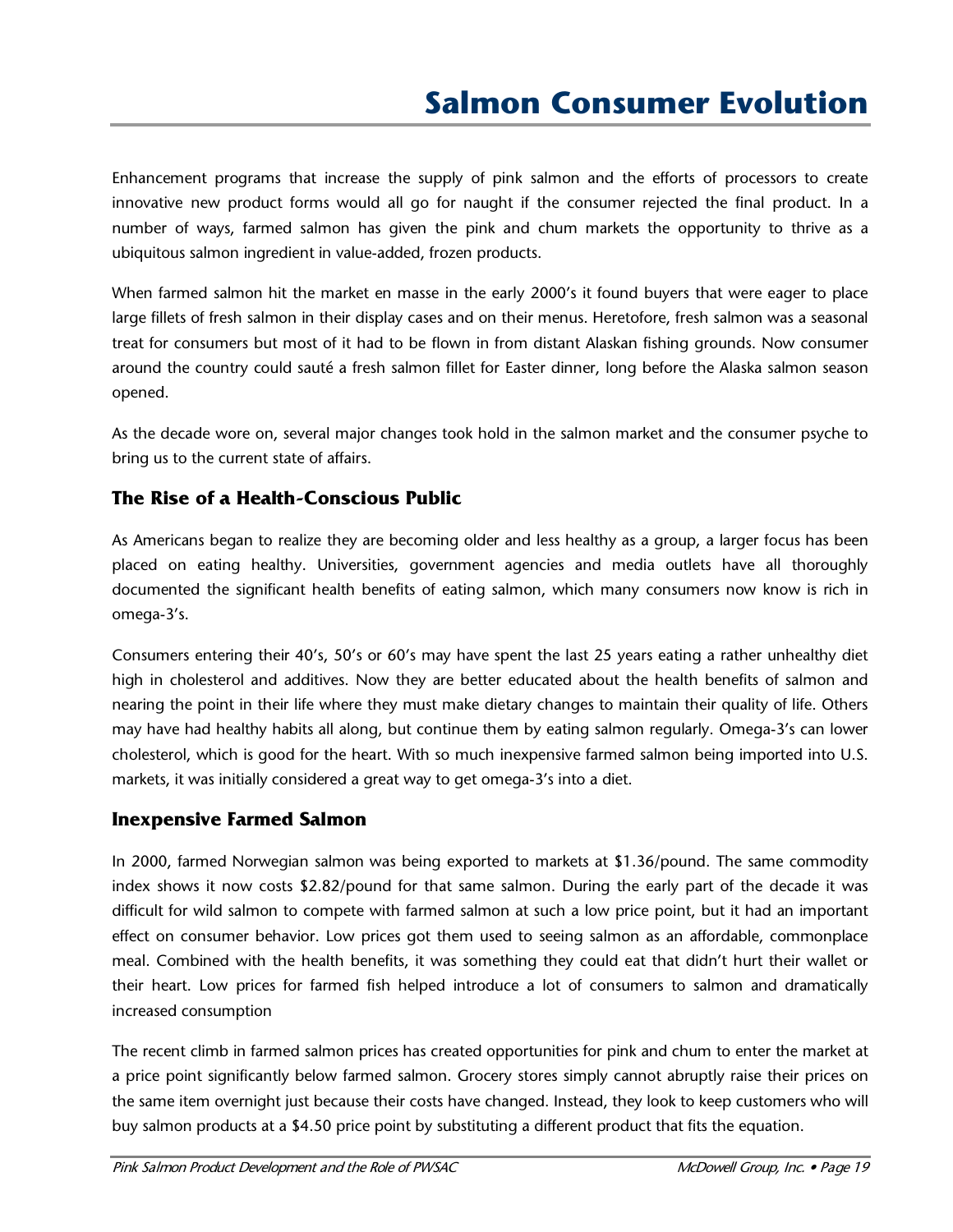Enhancement programs that increase the supply of pink salmon and the efforts of processors to create innovative new product forms would all go for naught if the consumer rejected the final product. In a number of ways, farmed salmon has given the pink and chum markets the opportunity to thrive as a ubiquitous salmon ingredient in value-added, frozen products.

When farmed salmon hit the market en masse in the early 2000's it found buyers that were eager to place large fillets of fresh salmon in their display cases and on their menus. Heretofore, fresh salmon was a seasonal treat for consumers but most of it had to be flown in from distant Alaskan fishing grounds. Now consumer around the country could sauté a fresh salmon fillet for Easter dinner, long before the Alaska salmon season opened.

As the decade wore on, several major changes took hold in the salmon market and the consumer psyche to bring us to the current state of affairs.

### **The Rise of a Health-Conscious Public**

As Americans began to realize they are becoming older and less healthy as a group, a larger focus has been placed on eating healthy. Universities, government agencies and media outlets have all thoroughly documented the significant health benefits of eating salmon, which many consumers now know is rich in omega-3's.

Consumers entering their 40's, 50's or 60's may have spent the last 25 years eating a rather unhealthy diet high in cholesterol and additives. Now they are better educated about the health benefits of salmon and nearing the point in their life where they must make dietary changes to maintain their quality of life. Others may have had healthy habits all along, but continue them by eating salmon regularly. Omega-3's can lower cholesterol, which is good for the heart. With so much inexpensive farmed salmon being imported into U.S. markets, it was initially considered a great way to get omega-3's into a diet.

#### **Inexpensive Farmed Salmon**

In 2000, farmed Norwegian salmon was being exported to markets at \$1.36/pound. The same commodity index shows it now costs \$2.82/pound for that same salmon. During the early part of the decade it was difficult for wild salmon to compete with farmed salmon at such a low price point, but it had an important effect on consumer behavior. Low prices got them used to seeing salmon as an affordable, commonplace meal. Combined with the health benefits, it was something they could eat that didn't hurt their wallet or their heart. Low prices for farmed fish helped introduce a lot of consumers to salmon and dramatically increased consumption

The recent climb in farmed salmon prices has created opportunities for pink and chum to enter the market at a price point significantly below farmed salmon. Grocery stores simply cannot abruptly raise their prices on the same item overnight just because their costs have changed. Instead, they look to keep customers who will buy salmon products at a \$4.50 price point by substituting a different product that fits the equation.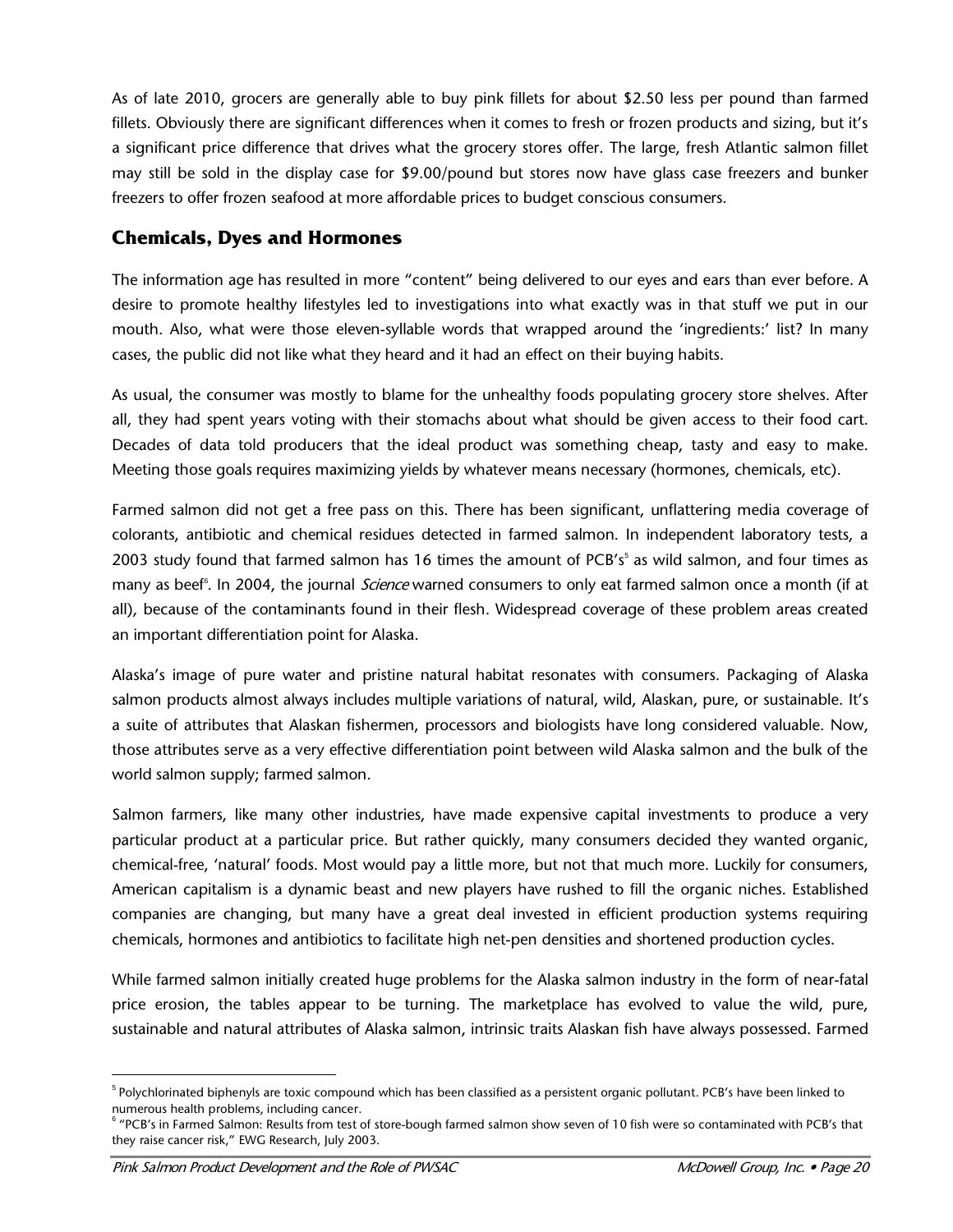As of late 2010, grocers are generally able to buy pink fillets for about \$2.50 less per pound than farmed fillets. Obviously there are significant differences when it comes to fresh or frozen products and sizing, but it's a significant price difference that drives what the grocery stores offer. The large, fresh Atlantic salmon fillet may still be sold in the display case for \$9.00/pound but stores now have glass case freezers and bunker freezers to offer frozen seafood at more affordable prices to budget conscious consumers.

#### **Chemicals, Dyes and Hormones**

The information age has resulted in more "content" being delivered to our eyes and ears than ever before. A desire to promote healthy lifestyles led to investigations into what exactly was in that stuff we put in our mouth. Also, what were those eleven-syllable words that wrapped around the 'ingredients:' list? In many cases, the public did not like what they heard and it had an effect on their buying habits.

As usual, the consumer was mostly to blame for the unhealthy foods populating grocery store shelves. After all, they had spent years voting with their stomachs about what should be given access to their food cart. Decades of data told producers that the ideal product was something cheap, tasty and easy to make. Meeting those goals requires maximizing yields by whatever means necessary (hormones, chemicals, etc).

Farmed salmon did not get a free pass on this. There has been significant, unflattering media coverage of colorants, antibiotic and chemical residues detected in farmed salmon. In independent laboratory tests, a 2003 study found that farmed salmon has 16 times the amount of PCB's<sup>[5](#page-21-0)</sup> as wild salmon, and four times as many as beef<sup>[6](#page-21-1)</sup>. In 2004, the journal *Science* warned consumers to only eat farmed salmon once a month (if at all), because of the contaminants found in their flesh. Widespread coverage of these problem areas created an important differentiation point for Alaska.

Alaska's image of pure water and pristine natural habitat resonates with consumers. Packaging of Alaska salmon products almost always includes multiple variations of natural, wild, Alaskan, pure, or sustainable. It's a suite of attributes that Alaskan fishermen, processors and biologists have long considered valuable. Now, those attributes serve as a very effective differentiation point between wild Alaska salmon and the bulk of the world salmon supply; farmed salmon.

Salmon farmers, like many other industries, have made expensive capital investments to produce a very particular product at a particular price. But rather quickly, many consumers decided they wanted organic, chemical-free, 'natural' foods. Most would pay a little more, but not that much more. Luckily for consumers, American capitalism is a dynamic beast and new players have rushed to fill the organic niches. Established companies are changing, but many have a great deal invested in efficient production systems requiring chemicals, hormones and antibiotics to facilitate high net-pen densities and shortened production cycles.

While farmed salmon initially created huge problems for the Alaska salmon industry in the form of near-fatal price erosion, the tables appear to be turning. The marketplace has evolved to value the wild, pure, sustainable and natural attributes of Alaska salmon, intrinsic traits Alaskan fish have always possessed. Farmed

<span id="page-21-0"></span> <sup>5</sup> <sup>5</sup> Polychlorinated biphenyls are toxic compound which has been classified as a persistent organic pollutant. PCB's have been linked to numerous health problems, including cancer.

<span id="page-21-1"></span><sup>&</sup>lt;sup>6</sup> "PCB's in Farmed Salmon: Results from test of store-bough farmed salmon show seven of 10 fish were so contaminated with PCB's that they raise cancer risk," EWG Research, July 2003.

Pink Salmon Product Development and the Role of PWSAC Mexican McDowell Group, Inc. • Page 20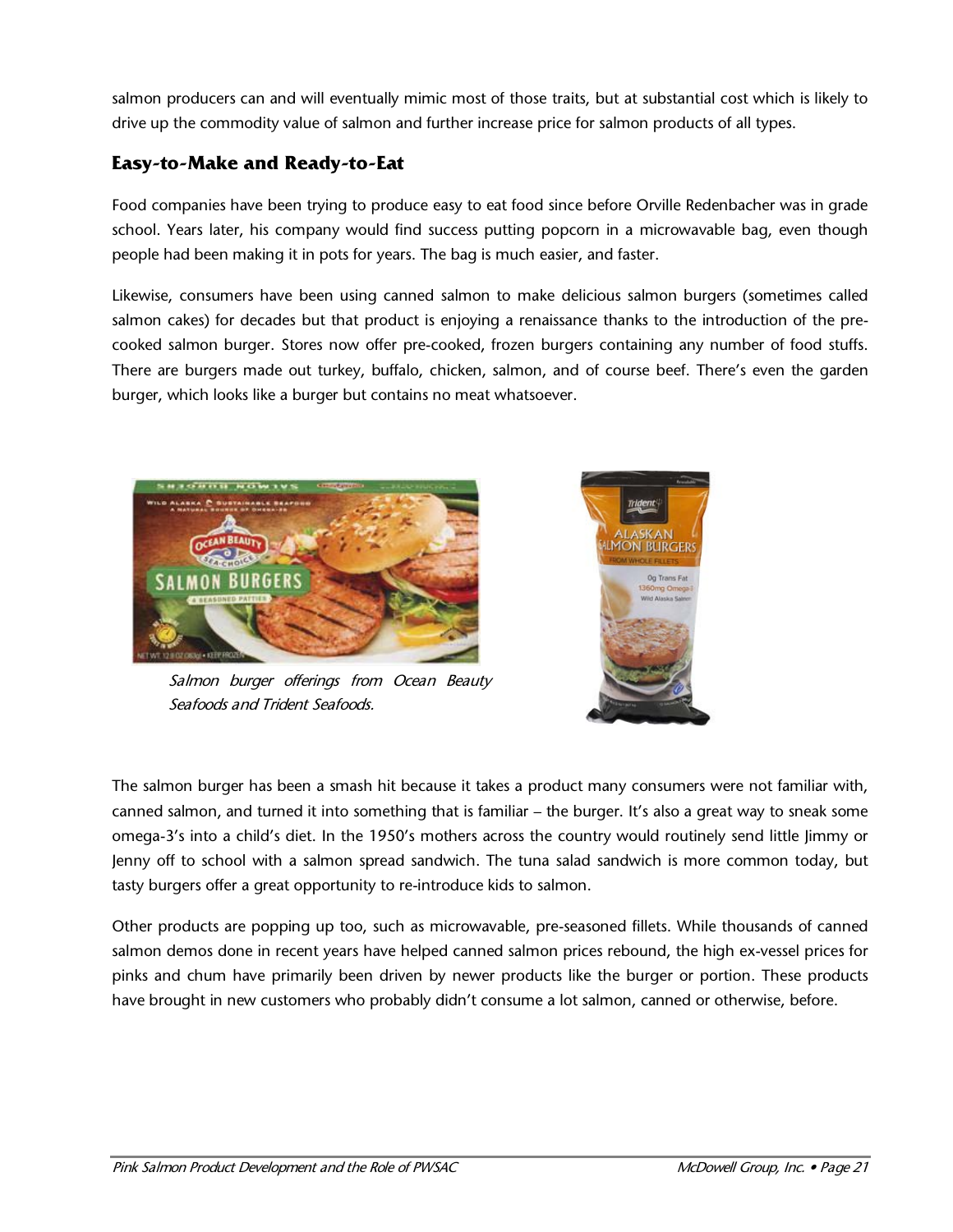salmon producers can and will eventually mimic most of those traits, but at substantial cost which is likely to drive up the commodity value of salmon and further increase price for salmon products of all types.

#### **Easy-to-Make and Ready-to-Eat**

Food companies have been trying to produce easy to eat food since before Orville Redenbacher was in grade school. Years later, his company would find success putting popcorn in a microwavable bag, even though people had been making it in pots for years. The bag is much easier, and faster.

Likewise, consumers have been using canned salmon to make delicious salmon burgers (sometimes called salmon cakes) for decades but that product is enjoying a renaissance thanks to the introduction of the precooked salmon burger. Stores now offer pre-cooked, frozen burgers containing any number of food stuffs. There are burgers made out turkey, buffalo, chicken, salmon, and of course beef. There's even the garden burger, which looks like a burger but contains no meat whatsoever.



Salmon burger offerings from Ocean Beauty Seafoods and Trident Seafoods.



The salmon burger has been a smash hit because it takes a product many consumers were not familiar with, canned salmon, and turned it into something that is familiar – the burger. It's also a great way to sneak some omega-3's into a child's diet. In the 1950's mothers across the country would routinely send little Jimmy or Jenny off to school with a salmon spread sandwich. The tuna salad sandwich is more common today, but tasty burgers offer a great opportunity to re-introduce kids to salmon.

Other products are popping up too, such as microwavable, pre-seasoned fillets. While thousands of canned salmon demos done in recent years have helped canned salmon prices rebound, the high ex-vessel prices for pinks and chum have primarily been driven by newer products like the burger or portion. These products have brought in new customers who probably didn't consume a lot salmon, canned or otherwise, before.